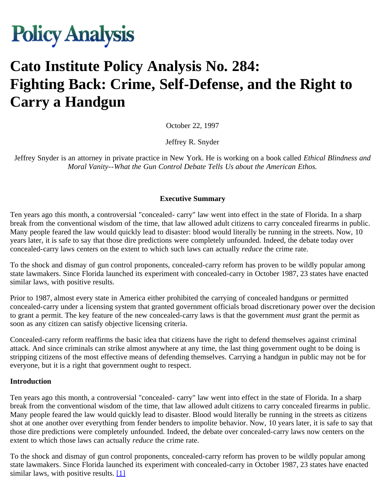

# **Cato Institute Policy Analysis No. 284: Fighting Back: Crime, Self-Defense, and the Right to Carry a Handgun**

October 22, 1997

Jeffrey R. Snyder

Jeffrey Snyder is an attorney in private practice in New York. He is working on a book called *Ethical Blindness and Moral Vanity--What the Gun Control Debate Tells Us about the American Ethos.*

#### **Executive Summary**

Ten years ago this month, a controversial "concealed- carry" law went into effect in the state of Florida. In a sharp break from the conventional wisdom of the time, that law allowed adult citizens to carry concealed firearms in public. Many people feared the law would quickly lead to disaster: blood would literally be running in the streets. Now, 10 years later, it is safe to say that those dire predictions were completely unfounded. Indeed, the debate today over concealed-carry laws centers on the extent to which such laws can actually *reduce* the crime rate.

To the shock and dismay of gun control proponents, concealed-carry reform has proven to be wildly popular among state lawmakers. Since Florida launched its experiment with concealed-carry in October 1987, 23 states have enacted similar laws, with positive results.

Prior to 1987, almost every state in America either prohibited the carrying of concealed handguns or permitted concealed-carry under a licensing system that granted government officials broad discretionary power over the decision to grant a permit. The key feature of the new concealed-carry laws is that the government *must* grant the permit as soon as any citizen can satisfy objective licensing criteria.

Concealed-carry reform reaffirms the basic idea that citizens have the right to defend themselves against criminal attack. And since criminals can strike almost anywhere at any time, the last thing government ought to be doing is stripping citizens of the most effective means of defending themselves. Carrying a handgun in public may not be for everyone, but it is a right that government ought to respect.

#### **Introduction**

Ten years ago this month, a controversial "concealed- carry" law went into effect in the state of Florida. In a sharp break from the conventional wisdom of the time, that law allowed adult citizens to carry concealed firearms in public. Many people feared the law would quickly lead to disaster. Blood would literally be running in the streets as citizens shot at one another over everything from fender benders to impolite behavior. Now, 10 years later, it is safe to say that those dire predictions were completely unfounded. Indeed, the debate over concealed-carry laws now centers on the extent to which those laws can actually *reduce* the crime rate.

To the shock and dismay of gun control proponents, concealed-carry reform has proven to be wildly popular among state lawmakers. Since Florida launched its experiment with concealed-carry in October 1987, 23 states have enacted similar laws, with positive results. [\[1\]](#page-27-0)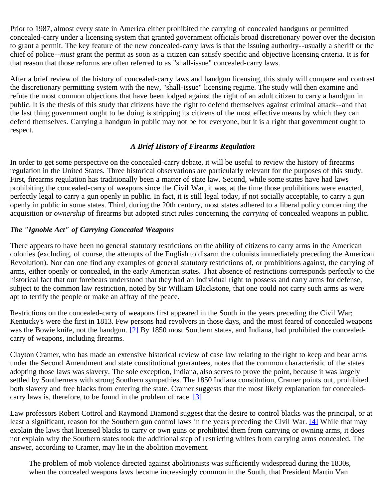Prior to 1987, almost every state in America either prohibited the carrying of concealed handguns or permitted concealed-carry under a licensing system that granted government officials broad discretionary power over the decision to grant a permit. The key feature of the new concealed-carry laws is that the issuing authority--usually a sheriff or the chief of police--*must* grant the permit as soon as a citizen can satisfy specific and objective licensing criteria. It is for that reason that those reforms are often referred to as "shall-issue" concealed-carry laws.

After a brief review of the history of concealed-carry laws and handgun licensing, this study will compare and contrast the discretionary permitting system with the new, "shall-issue" licensing regime. The study will then examine and refute the most common objections that have been lodged against the right of an adult citizen to carry a handgun in public. It is the thesis of this study that citizens have the right to defend themselves against criminal attack--and that the last thing government ought to be doing is stripping its citizens of the most effective means by which they can defend themselves. Carrying a handgun in public may not be for everyone, but it is a right that government ought to respect.

#### *A Brief History of Firearms Regulation*

In order to get some perspective on the concealed-carry debate, it will be useful to review the history of firearms regulation in the United States. Three historical observations are particularly relevant for the purposes of this study. First, firearms regulation has traditionally been a matter of state law. Second, while some states have had laws prohibiting the concealed-carry of weapons since the Civil War, it was, at the time those prohibitions were enacted, perfectly legal to carry a gun openly in public. In fact, it is still legal today, if not socially acceptable, to carry a gun openly in public in some states. Third, during the 20th century, most states adhered to a liberal policy concerning the acquisition or *ownership* of firearms but adopted strict rules concerning the *carrying* of concealed weapons in public.

# *The "Ignoble Act" of Carrying Concealed Weapons*

There appears to have been no general statutory restrictions on the ability of citizens to carry arms in the American colonies (excluding, of course, the attempts of the English to disarm the colonists immediately preceding the American Revolution). Nor can one find any examples of general statutory restrictions of, or prohibitions against, the carrying of arms, either openly or concealed, in the early American states. That absence of restrictions corresponds perfectly to the historical fact that our forebears understood that they had an individual right to possess and carry arms for defense, subject to the common law restriction, noted by Sir William Blackstone, that one could not carry such arms as were apt to terrify the people or make an affray of the peace.

Restrictions on the concealed-carry of weapons first appeared in the South in the years preceding the Civil War; Kentucky's were the first in 1813. Few persons had revolvers in those days, and the most feared of concealed weapons was the Bowie knife, not the handgun. [\[2\]](#page-27-1) By 1850 most Southern states, and Indiana, had prohibited the concealedcarry of weapons, including firearms.

Clayton Cramer, who has made an extensive historical review of case law relating to the right to keep and bear arms under the Second Amendment and state constitutional guarantees, notes that the common characteristic of the states adopting those laws was slavery. The sole exception, Indiana, also serves to prove the point, because it was largely settled by Southerners with strong Southern sympathies. The 1850 Indiana constitution, Cramer points out, prohibited both slavery and free blacks from entering the state. Cramer suggests that the most likely explanation for concealedcarry laws is, therefore, to be found in the problem of race. [\[3\]](#page-28-0)

Law professors Robert Cottrol and Raymond Diamond suggest that the desire to control blacks was the principal, or at least a significant, reason for the Southern gun control laws in the years preceding the Civil War. [\[4\]](#page-28-1) While that may explain the laws that licensed blacks to carry or own guns or prohibited them from carrying or owning arms, it does not explain why the Southern states took the additional step of restricting whites from carrying arms concealed. The answer, according to Cramer, may lie in the abolition movement.

The problem of mob violence directed against abolitionists was sufficiently widespread during the 1830s, when the concealed weapons laws became increasingly common in the South, that President Martin Van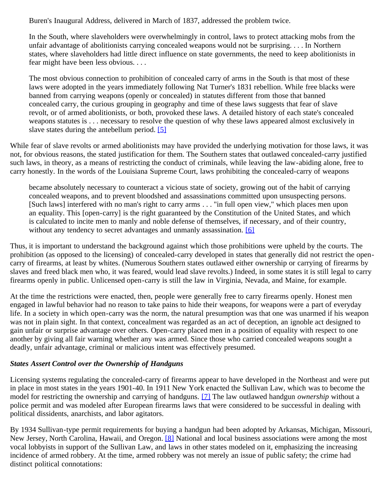Buren's Inaugural Address, delivered in March of 1837, addressed the problem twice.

In the South, where slaveholders were overwhelmingly in control, laws to protect attacking mobs from the unfair advantage of abolitionists carrying concealed weapons would not be surprising. . . . In Northern states, where slaveholders had little direct influence on state governments, the need to keep abolitionists in fear might have been less obvious. . . .

The most obvious connection to prohibition of concealed carry of arms in the South is that most of these laws were adopted in the years immediately following Nat Turner's 1831 rebellion. While free blacks were banned from carrying weapons (openly or concealed) in statutes different from those that banned concealed carry, the curious grouping in geography and time of these laws suggests that fear of slave revolt, or of armed abolitionists, or both, provoked these laws. A detailed history of each state's concealed weapons statutes is . . . necessary to resolve the question of why these laws appeared almost exclusively in slave states during the antebellum period. [\[5\]](#page-28-2)

While fear of slave revolts or armed abolitionists may have provided the underlying motivation for those laws, it was not, for obvious reasons, the stated justification for them. The Southern states that outlawed concealed-carry justified such laws, in theory, as a means of restricting the conduct of criminals, while leaving the law-abiding alone, free to carry honestly. In the words of the Louisiana Supreme Court, laws prohibiting the concealed-carry of weapons

became absolutely necessary to counteract a vicious state of society, growing out of the habit of carrying concealed weapons, and to prevent bloodshed and assassinations committed upon unsuspecting persons. [Such laws] interfered with no man's right to carry arms . . . "in full open view," which places men upon an equality. This [open-carry] is the right guaranteed by the Constitution of the United States, and which is calculated to incite men to manly and noble defense of themselves, if necessary, and of their country, without any tendency to secret advantages and unmanly assassination. [\[6\]](#page-28-3)

Thus, it is important to understand the background against which those prohibitions were upheld by the courts. The prohibition (as opposed to the licensing) of concealed-carry developed in states that generally did not restrict the opencarry of firearms, at least by whites. (Numerous Southern states outlawed either ownership or carrying of firearms by slaves and freed black men who, it was feared, would lead slave revolts.) Indeed, in some states it is still legal to carry firearms openly in public. Unlicensed open-carry is still the law in Virginia, Nevada, and Maine, for example.

At the time the restrictions were enacted, then, people were generally free to carry firearms openly. Honest men engaged in lawful behavior had no reason to take pains to hide their weapons, for weapons were a part of everyday life. In a society in which open-carry was the norm, the natural presumption was that one was unarmed if his weapon was not in plain sight. In that context, concealment was regarded as an act of deception, an ignoble act designed to gain unfair or surprise advantage over others. Open-carry placed men in a position of equality with respect to one another by giving all fair warning whether any was armed. Since those who carried concealed weapons sought a deadly, unfair advantage, criminal or malicious intent was effectively presumed.

#### *States Assert Control over the Ownership of Handguns*

Licensing systems regulating the concealed-carry of firearms appear to have developed in the Northeast and were put in place in most states in the years 1901-40. In 1911 New York enacted the Sullivan Law, which was to become the model for restricting the ownership and carrying of handguns. [\[7\]](#page-28-4) The law outlawed handgun *ownership* without a police permit and was modeled after European firearms laws that were considered to be successful in dealing with political dissidents, anarchists, and labor agitators.

By 1934 Sullivan-type permit requirements for buying a handgun had been adopted by Arkansas, Michigan, Missouri, New Jersey, North Carolina, Hawaii, and Oregon. [\[8\]](#page-28-5) National and local business associations were among the most vocal lobbyists in support of the Sullivan Law, and laws in other states modeled on it, emphasizing the increasing incidence of armed robbery. At the time, armed robbery was not merely an issue of public safety; the crime had distinct political connotations: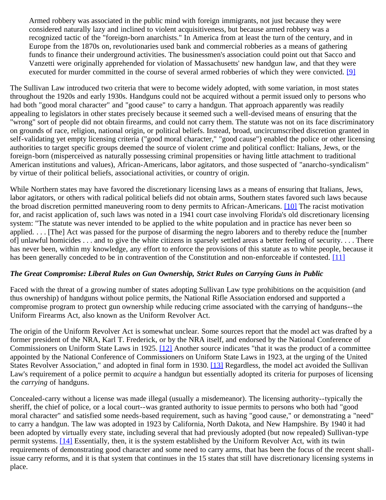Armed robbery was associated in the public mind with foreign immigrants, not just because they were considered naturally lazy and inclined to violent acquisitiveness, but because armed robbery was a recognized tactic of the "foreign-born anarchists." In America from at least the turn of the century, and in Europe from the 1870s on, revolutionaries used bank and commercial robberies as a means of gathering funds to finance their underground activities. The businessmen's association could point out that Sacco and Vanzetti were originally apprehended for violation of Massachusetts' new handgun law, and that they were executed for murder committed in the course of several armed robberies of which they were convicted. [\[9\]](#page-28-6)

The Sullivan Law introduced two criteria that were to become widely adopted, with some variation, in most states throughout the 1920s and early 1930s. Handguns could not be acquired without a permit issued only to persons who had both "good moral character" and "good cause" to carry a handgun. That approach apparently was readily appealing to legislators in other states precisely because it seemed such a well-devised means of ensuring that the "wrong" sort of people did not obtain firearms, and could not carry them. The statute was not on its face discriminatory on grounds of race, religion, national origin, or political beliefs. Instead, broad, uncircumscribed discretion granted in self-validating yet empty licensing criteria ("good moral character," "good cause") enabled the police or other licensing authorities to target specific groups deemed the source of violent crime and political conflict: Italians, Jews, or the foreign-born (misperceived as naturally possessing criminal propensities or having little attachment to traditional American institutions and values), African-Americans, labor agitators, and those suspected of "anarcho-syndicalism" by virtue of their political beliefs, associational activities, or country of origin.

While Northern states may have favored the discretionary licensing laws as a means of ensuring that Italians, Jews, labor agitators, or others with radical political beliefs did not obtain arms, Southern states favored such laws because the broad discretion permitted maneuvering room to deny permits to African-Americans. [\[10\]](#page-28-7) The racist motivation for, and racist application of, such laws was noted in a 1941 court case involving Florida's old discretionary licensing system: "The statute was never intended to be applied to the white population and in practice has never been so applied. . . . [The] Act was passed for the purpose of disarming the negro laborers and to thereby reduce the [number of] unlawful homicides . . . and to give the white citizens in sparsely settled areas a better feeling of security. . . . There has never been, within my knowledge, any effort to enforce the provisions of this statute as to white people, because it has been generally conceded to be in contravention of the Constitution and non-enforceable if contested. [\[11\]](#page-28-8)

#### *The Great Compromise: Liberal Rules on Gun Ownership, Strict Rules on Carrying Guns in Public*

Faced with the threat of a growing number of states adopting Sullivan Law type prohibitions on the acquisition (and thus ownership) of handguns without police permits, the National Rifle Association endorsed and supported a compromise program to protect gun ownership while reducing crime associated with the carrying of handguns--the Uniform Firearms Act, also known as the Uniform Revolver Act.

The origin of the Uniform Revolver Act is somewhat unclear. Some sources report that the model act was drafted by a former president of the NRA, Karl T. Frederick, or by the NRA itself, and endorsed by the National Conference of Commissioners on Uniform State Laws in 1925. [\[12\]](#page-28-9) Another source indicates "that it was the product of a committee appointed by the National Conference of Commissioners on Uniform State Laws in 1923, at the urging of the United States Revolver Association," and adopted in final form in 1930. [\[13\]](#page-28-10) Regardless, the model act avoided the Sullivan Law's requirement of a police permit to *acquire* a handgun but essentially adopted its criteria for purposes of licensing the *carrying* of handguns.

Concealed-carry without a license was made illegal (usually a misdemeanor). The licensing authority--typically the sheriff, the chief of police, or a local court--was granted authority to issue permits to persons who both had "good moral character" and satisfied some needs-based requirement, such as having "good cause," or demonstrating a "need" to carry a handgun. The law was adopted in 1923 by California, North Dakota, and New Hampshire. By 1940 it had been adopted by virtually every state, including several that had previously adopted (but now repealed) Sullivan-type permit systems. [\[14\]](#page-28-11) Essentially, then, it is the system established by the Uniform Revolver Act, with its twin requirements of demonstrating good character and some need to carry arms, that has been the focus of the recent shallissue carry reforms, and it is that system that continues in the 15 states that still have discretionary licensing systems in place.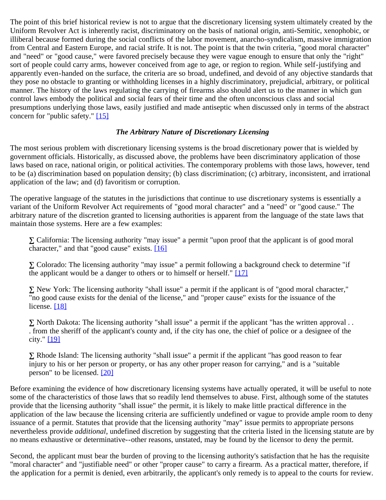The point of this brief historical review is not to argue that the discretionary licensing system ultimately created by the Uniform Revolver Act is inherently racist, discriminatory on the basis of national origin, anti-Semitic, xenophobic, or illiberal because formed during the social conflicts of the labor movement, anarcho-syndicalism, massive immigration from Central and Eastern Europe, and racial strife. It is not. The point is that the twin criteria, "good moral character" and "need" or "good cause," were favored precisely because they were vague enough to ensure that only the "right" sort of people could carry arms, however conceived from age to age, or region to region. While self-justifying and apparently even-handed on the surface, the criteria are so broad, undefined, and devoid of any objective standards that they pose no obstacle to granting or withholding licenses in a highly discriminatory, prejudicial, arbitrary, or political manner. The history of the laws regulating the carrying of firearms also should alert us to the manner in which gun control laws embody the political and social fears of their time and the often unconscious class and social presumptions underlying those laws, easily justified and made antiseptic when discussed only in terms of the abstract concern for "public safety." [\[15\]](#page-28-12)

#### *The Arbitrary Nature of Discretionary Licensing*

The most serious problem with discretionary licensing systems is the broad discretionary power that is wielded by government officials. Historically, as discussed above, the problems have been discriminatory application of those laws based on race, national origin, or political activities. The contemporary problems with those laws, however, tend to be (a) discrimination based on population density; (b) class discrimination; (c) arbitrary, inconsistent, and irrational application of the law; and (d) favoritism or corruption.

The operative language of the statutes in the jurisdictions that continue to use discretionary systems is essentially a variant of the Uniform Revolver Act requirements of "good moral character" and a "need" or "good cause." The arbitrary nature of the discretion granted to licensing authorities is apparent from the language of the state laws that maintain those systems. Here are a few examples:

 California: The licensing authority "may issue" a permit "upon proof that the applicant is of good moral character," and that "good cause" exists. [\[16\]](#page-28-13)

 Colorado: The licensing authority "may issue" a permit following a background check to determine "if the applicant would be a danger to others or to himself or herself." [\[17\]](#page-28-14)

 New York: The licensing authority "shall issue" a permit if the applicant is of "good moral character," "no good cause exists for the denial of the license," and "proper cause" exists for the issuance of the license. [\[18\]](#page-28-15)

 North Dakota: The licensing authority "shall issue" a permit if the applicant "has the written approval . . . from the sheriff of the applicant's county and, if the city has one, the chief of police or a designee of the city." [\[19\]](#page-28-16)

 Rhode Island: The licensing authority "shall issue" a permit if the applicant "has good reason to fear injury to his or her person or property, or has any other proper reason for carrying," and is a "suitable person" to be licensed. [\[20\]](#page-28-17)

Before examining the evidence of how discretionary licensing systems have actually operated, it will be useful to note some of the characteristics of those laws that so readily lend themselves to abuse. First, although some of the statutes provide that the licensing authority "shall issue" the permit, it is likely to make little practical difference in the application of the law because the licensing criteria are sufficiently undefined or vague to provide ample room to deny issuance of a permit. Statutes that provide that the licensing authority "may" issue permits to appropriate persons nevertheless provide *additional*, undefined discretion by suggesting that the criteria listed in the licensing statute are by no means exhaustive or determinative--other reasons, unstated, may be found by the licensor to deny the permit.

Second, the applicant must bear the burden of proving to the licensing authority's satisfaction that he has the requisite "moral character" and "justifiable need" or other "proper cause" to carry a firearm. As a practical matter, therefore, if the application for a permit is denied, even arbitrarily, the applicant's only remedy is to appeal to the courts for review.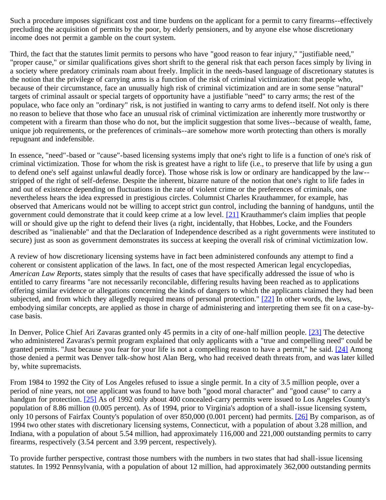Such a procedure imposes significant cost and time burdens on the applicant for a permit to carry firearms--effectively precluding the acquisition of permits by the poor, by elderly pensioners, and by anyone else whose discretionary income does not permit a gamble on the court system.

Third, the fact that the statutes limit permits to persons who have "good reason to fear injury," "justifiable need," "proper cause," or similar qualifications gives short shrift to the general risk that each person faces simply by living in a society where predatory criminals roam about freely. Implicit in the needs-based language of discretionary statutes is the notion that the privilege of carrying arms is a function of the risk of criminal victimization: that people who, because of their circumstance, face an unusually high risk of criminal victimization and are in some sense "natural" targets of criminal assault or special targets of opportunity have a justifiable "need" to carry arms; the rest of the populace, who face only an "ordinary" risk, is not justified in wanting to carry arms to defend itself. Not only is there no reason to believe that those who face an unusual risk of criminal victimization are inherently more trustworthy or competent with a firearm than those who do not, but the implicit suggestion that some lives--because of wealth, fame, unique job requirements, or the preferences of criminals--are somehow more worth protecting than others is morally repugnant and indefensible.

In essence, "need"-based or "cause"-based licensing systems imply that one's right to life is a function of one's risk of criminal victimization. Those for whom the risk is greatest have a right to life (i.e., to preserve that life by using a gun to defend one's self against unlawful deadly force). Those whose risk is low or ordinary are handicapped by the law- stripped of the right of self-defense. Despite the inherent, bizarre nature of the notion that one's right to life fades in and out of existence depending on fluctuations in the rate of violent crime or the preferences of criminals, one nevertheless hears the idea expressed in prestigious circles. Columnist Charles Krauthammer, for example, has observed that Americans would not be willing to accept strict gun control, including the banning of handguns, until the government could demonstrate that it could keep crime at a low level. [\[21\]](#page-29-0) Krauthammer's claim implies that people will or should give up the right to defend their lives (a right, incidentally, that Hobbes, Locke, and the Founders described as "inalienable" and that the Declaration of Independence described as a right governments were instituted to secure) just as soon as government demonstrates its success at keeping the overall risk of criminal victimization low.

A review of how discretionary licensing systems have in fact been administered confounds any attempt to find a coherent or consistent application of the laws. In fact, one of the most respected American legal encyclopedias, *American Law Reports*, states simply that the results of cases that have specifically addressed the issue of who is entitled to carry firearms "are not necessarily reconcilable, differing results having been reached as to applications offering similar evidence or allegations concerning the kinds of dangers to which the applicants claimed they had been subjected, and from which they allegedly required means of personal protection." [\[22\]](#page-29-1) In other words, the laws, embodying similar concepts, are applied as those in charge of administering and interpreting them see fit on a case-bycase basis.

In Denver, Police Chief Ari Zavaras granted only 45 permits in a city of one-half million people. [\[23\]](#page-29-2) The detective who administered Zavaras's permit program explained that only applicants with a "true and compelling need" could be granted permits. "Just because you fear for your life is not a compelling reason to have a permit," he said. [\[24\]](#page-29-3) Among those denied a permit was Denver talk-show host Alan Berg, who had received death threats from, and was later killed by, white supremacists.

From 1984 to 1992 the City of Los Angeles refused to issue a single permit. In a city of 3.5 million people, over a period of nine years, not one applicant was found to have both "good moral character" and "good cause" to carry a handgun for protection. [\[25\]](#page-29-4) As of 1992 only about 400 concealed-carry permits were issued to Los Angeles County's population of 8.86 million (0.005 percent). As of 1994, prior to Virginia's adoption of a shall-issue licensing system, only 10 persons of Fairfax County's population of over 850,000 (0.001 percent) had permits. [\[26\]](#page-29-5) By comparison, as of 1994 two other states with discretionary licensing systems, Connecticut, with a population of about 3.28 million, and Indiana, with a population of about 5.54 million, had approximately 116,000 and 221,000 outstanding permits to carry firearms, respectively (3.54 percent and 3.99 percent, respectively).

To provide further perspective, contrast those numbers with the numbers in two states that had shall-issue licensing statutes. In 1992 Pennsylvania, with a population of about 12 million, had approximately 362,000 outstanding permits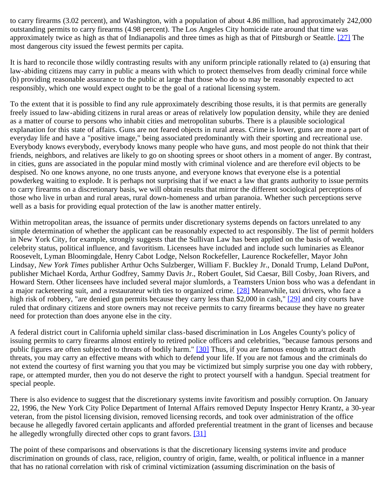to carry firearms (3.02 percent), and Washington, with a population of about 4.86 million, had approximately 242,000 outstanding permits to carry firearms (4.98 percent). The Los Angeles City homicide rate around that time was approximately twice as high as that of Indianapolis and three times as high as that of Pittsburgh or Seattle. [\[27\]](#page-29-6) The most dangerous city issued the fewest permits per capita.

It is hard to reconcile those wildly contrasting results with any uniform principle rationally related to (a) ensuring that law-abiding citizens may carry in public a means with which to protect themselves from deadly criminal force while (b) providing reasonable assurance to the public at large that those who do so may be reasonably expected to act responsibly, which one would expect ought to be the goal of a rational licensing system.

To the extent that it is possible to find any rule approximately describing those results, it is that permits are generally freely issued to law-abiding citizens in rural areas or areas of relatively low population density, while they are denied as a matter of course to persons who inhabit cities and metropolitan suburbs. There is a plausible sociological explanation for this state of affairs. Guns are not feared objects in rural areas. Crime is lower, guns are more a part of everyday life and have a "positive image," being associated predominantly with their sporting and recreational use. Everybody knows everybody, everybody knows many people who have guns, and most people do not think that their friends, neighbors, and relatives are likely to go on shooting sprees or shoot others in a moment of anger. By contrast, in cities, guns are associated in the popular mind mostly with criminal violence and are therefore evil objects to be despised. No one knows anyone, no one trusts anyone, and everyone knows that everyone else is a potential powderkeg waiting to explode. It is perhaps not surprising that if we enact a law that grants authority to issue permits to carry firearms on a discretionary basis, we will obtain results that mirror the different sociological perceptions of those who live in urban and rural areas, rural down-homeness and urban paranoia. Whether such perceptions serve well as a basis for providing equal protection of the law is another matter entirely.

Within metropolitan areas, the issuance of permits under discretionary systems depends on factors unrelated to any simple determination of whether the applicant can be reasonably expected to act responsibly. The list of permit holders in New York City, for example, strongly suggests that the Sullivan Law has been applied on the basis of wealth, celebrity status, political influence, and favoritism. Licensees have included and include such luminaries as Eleanor Roosevelt, Lyman Bloomingdale, Henry Cabot Lodge, Nelson Rockefeller, Laurence Rockefeller, Mayor John Lindsay, *New York Times* publisher Arthur Ochs Sulzberger, William F. Buckley Jr., Donald Trump, Leland DuPont, publisher Michael Korda, Arthur Godfrey, Sammy Davis Jr., Robert Goulet, Sid Caesar, Bill Cosby, Joan Rivers, and Howard Stern. Other licensees have included several major slumlords, a Teamsters Union boss who was a defendant in a major racketeering suit, and a restaurateur with ties to organized crime. [\[28\]](#page-29-7) Meanwhile, taxi drivers, who face a high risk of robbery, "are denied gun permits because they carry less than \$2,000 in cash," [\[29\]](#page-29-8) and city courts have ruled that ordinary citizens and store owners may not receive permits to carry firearms because they have no greater need for protection than does anyone else in the city.

A federal district court in California upheld similar class-based discrimination in Los Angeles County's policy of issuing permits to carry firearms almost entirely to retired police officers and celebrities, "because famous persons and public figures are often subjected to threats of bodily harm." [\[30\]](#page-29-9) Thus, if you are famous enough to attract death threats, you may carry an effective means with which to defend your life. If you are not famous and the criminals do not extend the courtesy of first warning you that you may be victimized but simply surprise you one day with robbery, rape, or attempted murder, then you do not deserve the right to protect yourself with a handgun. Special treatment for special people.

There is also evidence to suggest that the discretionary systems invite favoritism and possibly corruption. On January 22, 1996, the New York City Police Department of Internal Affairs removed Deputy Inspector Henry Krantz, a 30-year veteran, from the pistol licensing division, removed licensing records, and took over administration of the office because he allegedly favored certain applicants and afforded preferential treatment in the grant of licenses and because he allegedly wrongfully directed other cops to grant favors. [\[31\]](#page-29-10)

The point of these comparisons and observations is that the discretionary licensing systems invite and produce discrimination on grounds of class, race, religion, country of origin, fame, wealth, or political influence in a manner that has no rational correlation with risk of criminal victimization (assuming discrimination on the basis of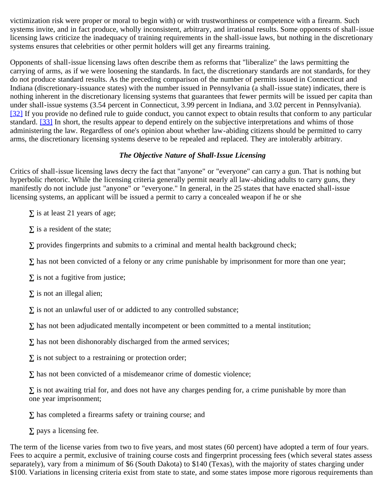victimization risk were proper or moral to begin with) or with trustworthiness or competence with a firearm. Such systems invite, and in fact produce, wholly inconsistent, arbitrary, and irrational results. Some opponents of shall-issue licensing laws criticize the inadequacy of training requirements in the shall-issue laws, but nothing in the discretionary systems ensures that celebrities or other permit holders will get any firearms training.

Opponents of shall-issue licensing laws often describe them as reforms that "liberalize" the laws permitting the carrying of arms, as if we were loosening the standards. In fact, the discretionary standards are not standards, for they do not produce standard results. As the preceding comparison of the number of permits issued in Connecticut and Indiana (discretionary-issuance states) with the number issued in Pennsylvania (a shall-issue state) indicates, there is nothing inherent in the discretionary licensing systems that guarantees that fewer permits will be issued per capita than under shall-issue systems (3.54 percent in Connecticut, 3.99 percent in Indiana, and 3.02 percent in Pennsylvania). [\[32\]](#page-29-11) If you provide no defined rule to guide conduct, you cannot expect to obtain results that conform to any particular standard. [\[33\]](#page-29-12) In short, the results appear to depend entirely on the subjective interpretations and whims of those administering the law. Regardless of one's opinion about whether law-abiding citizens should be permitted to carry arms, the discretionary licensing systems deserve to be repealed and replaced. They are intolerably arbitrary.

#### *The Objective Nature of Shall-Issue Licensing*

Critics of shall-issue licensing laws decry the fact that "anyone" or "everyone" can carry a gun. That is nothing but hyperbolic rhetoric. While the licensing criteria generally permit nearly all law-abiding adults to carry guns, they manifestly do not include just "anyone" or "everyone." In general, in the 25 states that have enacted shall-issue licensing systems, an applicant will be issued a permit to carry a concealed weapon if he or she

is at least 21 years of age;

is a resident of the state;

provides fingerprints and submits to a criminal and mental health background check;

has not been convicted of a felony or any crime punishable by imprisonment for more than one year;

is not a fugitive from justice;

is not an illegal alien;

is not an unlawful user of or addicted to any controlled substance;

has not been adjudicated mentally incompetent or been committed to a mental institution;

has not been dishonorably discharged from the armed services;

is not subject to a restraining or protection order;

has not been convicted of a misdemeanor crime of domestic violence;

 is not awaiting trial for, and does not have any charges pending for, a crime punishable by more than one year imprisonment;

has completed a firearms safety or training course; and

pays a licensing fee.

The term of the license varies from two to five years, and most states (60 percent) have adopted a term of four years. Fees to acquire a permit, exclusive of training course costs and fingerprint processing fees (which several states assess separately), vary from a minimum of \$6 (South Dakota) to \$140 (Texas), with the majority of states charging under \$100. Variations in licensing criteria exist from state to state, and some states impose more rigorous requirements than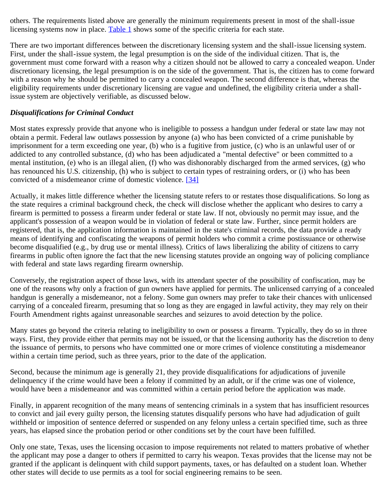others. The requirements listed above are generally the minimum requirements present in most of the shall-issue licensing systems now in place. [Table 1](file:///Users/jasonevines/Sites/Cato%20Intranet/webstaff/fixpdf/table-chart/pa-284table1.html) shows some of the specific criteria for each state.

There are two important differences between the discretionary licensing system and the shall-issue licensing system. First, under the shall-issue system, the legal presumption is on the side of the individual citizen. That is, the government must come forward with a reason why a citizen should not be allowed to carry a concealed weapon. Under discretionary licensing, the legal presumption is on the side of the government. That is, the citizen has to come forward with a reason why he should be permitted to carry a concealed weapon. The second difference is that, whereas the eligibility requirements under discretionary licensing are vague and undefined, the eligibility criteria under a shallissue system are objectively verifiable, as discussed below.

# *Disqualifications for Criminal Conduct*

Most states expressly provide that anyone who is ineligible to possess a handgun under federal or state law may not obtain a permit. Federal law outlaws possession by anyone (a) who has been convicted of a crime punishable by imprisonment for a term exceeding one year, (b) who is a fugitive from justice, (c) who is an unlawful user of or addicted to any controlled substance, (d) who has been adjudicated a "mental defective" or been committed to a mental institution, (e) who is an illegal alien, (f) who was dishonorably discharged from the armed services, (g) who has renounced his U.S. citizenship, (h) who is subject to certain types of restraining orders, or (i) who has been convicted of a misdemeanor crime of domestic violence. [\[34\]](#page-29-13)

Actually, it makes little difference whether the licensing statute refers to or restates those disqualifications. So long as the state requires a criminal background check, the check will disclose whether the applicant who desires to carry a firearm is permitted to possess a firearm under federal or state law. If not, obviously no permit may issue, and the applicant's possession of a weapon would be in violation of federal or state law. Further, since permit holders are registered, that is, the application information is maintained in the state's criminal records, the data provide a ready means of identifying and confiscating the weapons of permit holders who commit a crime postissuance or otherwise become disqualified (e.g., by drug use or mental illness). Critics of laws liberalizing the ability of citizens to carry firearms in public often ignore the fact that the new licensing statutes provide an ongoing way of policing compliance with federal and state laws regarding firearm ownership.

Conversely, the registration aspect of those laws, with its attendant specter of the possibility of confiscation, may be one of the reasons why only a fraction of gun owners have applied for permits. The unlicensed carrying of a concealed handgun is generally a misdemeanor, not a felony. Some gun owners may prefer to take their chances with unlicensed carrying of a concealed firearm, presuming that so long as they are engaged in lawful activity, they may rely on their Fourth Amendment rights against unreasonable searches and seizures to avoid detection by the police.

Many states go beyond the criteria relating to ineligibility to own or possess a firearm. Typically, they do so in three ways. First, they provide either that permits may not be issued, or that the licensing authority has the discretion to deny the issuance of permits, to persons who have committed one or more crimes of violence constituting a misdemeanor within a certain time period, such as three years, prior to the date of the application.

Second, because the minimum age is generally 21, they provide disqualifications for adjudications of juvenile delinquency if the crime would have been a felony if committed by an adult, or if the crime was one of violence, would have been a misdemeanor and was committed within a certain period before the application was made.

Finally, in apparent recognition of the many means of sentencing criminals in a system that has insufficient resources to convict and jail every guilty person, the licensing statutes disqualify persons who have had adjudication of guilt withheld or imposition of sentence deferred or suspended on any felony unless a certain specified time, such as three years, has elapsed since the probation period or other conditions set by the court have been fulfilled.

Only one state, Texas, uses the licensing occasion to impose requirements not related to matters probative of whether the applicant may pose a danger to others if permitted to carry his weapon. Texas provides that the license may not be granted if the applicant is delinquent with child support payments, taxes, or has defaulted on a student loan. Whether other states will decide to use permits as a tool for social engineering remains to be seen.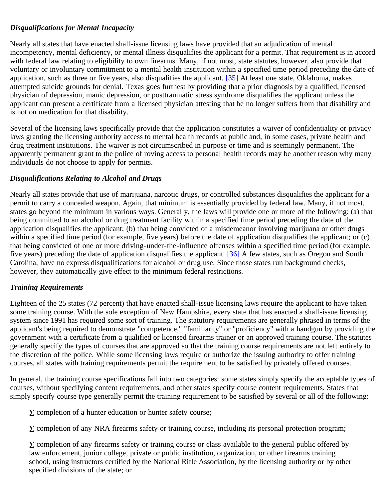# *Disqualifications for Mental Incapacity*

Nearly all states that have enacted shall-issue licensing laws have provided that an adjudication of mental incompetency, mental deficiency, or mental illness disqualifies the applicant for a permit. That requirement is in accord with federal law relating to eligibility to own firearms. Many, if not most, state statutes, however, also provide that voluntary or involuntary commitment to a mental health institution within a specified time period preceding the date of application, such as three or five years, also disqualifies the applicant. [\[35\]](#page-29-14) At least one state, Oklahoma, makes attempted suicide grounds for denial. Texas goes furthest by providing that a prior diagnosis by a qualified, licensed physician of depression, manic depression, or posttraumatic stress syndrome disqualifies the applicant unless the applicant can present a certificate from a licensed physician attesting that he no longer suffers from that disability and is not on medication for that disability.

Several of the licensing laws specifically provide that the application constitutes a waiver of confidentiality or privacy laws granting the licensing authority access to mental health records at public and, in some cases, private health and drug treatment institutions. The waiver is not circumscribed in purpose or time and is seemingly permanent. The apparently permanent grant to the police of roving access to personal health records may be another reason why many individuals do not choose to apply for permits.

#### *Disqualifications Relating to Alcohol and Drugs*

Nearly all states provide that use of marijuana, narcotic drugs, or controlled substances disqualifies the applicant for a permit to carry a concealed weapon. Again, that minimum is essentially provided by federal law. Many, if not most, states go beyond the minimum in various ways. Generally, the laws will provide one or more of the following: (a) that being committed to an alcohol or drug treatment facility within a specified time period preceding the date of the application disqualifies the applicant; (b) that being convicted of a misdemeanor involving marijuana or other drugs within a specified time period (for example, five years) before the date of application disqualifies the applicant; or (c) that being convicted of one or more driving-under-the-influence offenses within a specified time period (for example, five years) preceding the date of application disqualifies the applicant. [\[36\]](#page-29-15) A few states, such as Oregon and South Carolina, have no express disqualifications for alcohol or drug use. Since those states run background checks, however, they automatically give effect to the minimum federal restrictions.

#### *Training Requirements*

Eighteen of the 25 states (72 percent) that have enacted shall-issue licensing laws require the applicant to have taken some training course. With the sole exception of New Hampshire, every state that has enacted a shall-issue licensing system since 1991 has required some sort of training. The statutory requirements are generally phrased in terms of the applicant's being required to demonstrate "competence," "familiarity" or "proficiency" with a handgun by providing the government with a certificate from a qualified or licensed firearms trainer or an approved training course. The statutes generally specify the types of courses that are approved so that the training course requirements are not left entirely to the discretion of the police. While some licensing laws require or authorize the issuing authority to offer training courses, all states with training requirements permit the requirement to be satisfied by privately offered courses.

In general, the training course specifications fall into two categories: some states simply specify the acceptable types of courses, without specifying content requirements, and other states specify course content requirements. States that simply specify course type generally permit the training requirement to be satisfied by several or all of the following:

completion of a hunter education or hunter safety course;

completion of any NRA firearms safety or training course, including its personal protection program;

 completion of any firearms safety or training course or class available to the general public offered by law enforcement, junior college, private or public institution, organization, or other firearms training school, using instructors certified by the National Rifle Association, by the licensing authority or by other specified divisions of the state; or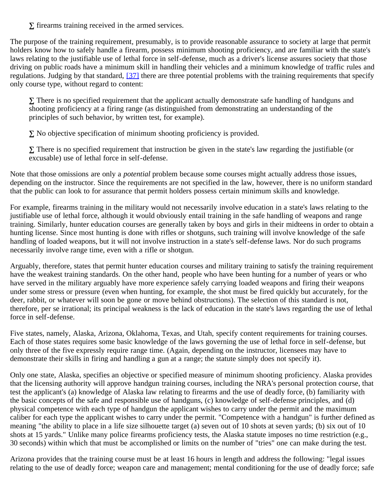firearms training received in the armed services.

The purpose of the training requirement, presumably, is to provide reasonable assurance to society at large that permit holders know how to safely handle a firearm, possess minimum shooting proficiency, and are familiar with the state's laws relating to the justifiable use of lethal force in self-defense, much as a driver's license assures society that those driving on public roads have a minimum skill in handling their vehicles and a minimum knowledge of traffic rules and regulations. Judging by that standard, [\[37\]](#page-29-16) there are three potential problems with the training requirements that specify only course type, without regard to content:

 There is no specified requirement that the applicant actually demonstrate safe handling of handguns and shooting proficiency at a firing range (as distinguished from demonstrating an understanding of the principles of such behavior, by written test, for example).

No objective specification of minimum shooting proficiency is provided.

 There is no specified requirement that instruction be given in the state's law regarding the justifiable (or excusable) use of lethal force in self-defense.

Note that those omissions are only a *potential* problem because some courses might actually address those issues, depending on the instructor. Since the requirements are not specified in the law, however, there is no uniform standard that the public can look to for assurance that permit holders possess certain minimum skills and knowledge.

For example, firearms training in the military would not necessarily involve education in a state's laws relating to the justifiable use of lethal force, although it would obviously entail training in the safe handling of weapons and range training. Similarly, hunter education courses are generally taken by boys and girls in their midteens in order to obtain a hunting license. Since most hunting is done with rifles or shotguns, such training will involve knowledge of the safe handling of loaded weapons, but it will not involve instruction in a state's self-defense laws. Nor do such programs necessarily involve range time, even with a rifle or shotgun.

Arguably, therefore, states that permit hunter education courses and military training to satisfy the training requirement have the weakest training standards. On the other hand, people who have been hunting for a number of years or who have served in the military arguably have more experience safely carrying loaded weapons and firing their weapons under some stress or pressure (even when hunting, for example, the shot must be fired quickly but accurately, for the deer, rabbit, or whatever will soon be gone or move behind obstructions). The selection of this standard is not, therefore, per se irrational; its principal weakness is the lack of education in the state's laws regarding the use of lethal force in self-defense.

Five states, namely, Alaska, Arizona, Oklahoma, Texas, and Utah, specify content requirements for training courses. Each of those states requires some basic knowledge of the laws governing the use of lethal force in self-defense, but only three of the five expressly require range time. (Again, depending on the instructor, licensees may have to demonstrate their skills in firing and handling a gun at a range; the statute simply does not specify it).

Only one state, Alaska, specifies an objective or specified measure of minimum shooting proficiency. Alaska provides that the licensing authority will approve handgun training courses, including the NRA's personal protection course, that test the applicant's (a) knowledge of Alaska law relating to firearms and the use of deadly force, (b) familiarity with the basic concepts of the safe and responsible use of handguns, (c) knowledge of self-defense principles, and (d) physical competence with each type of handgun the applicant wishes to carry under the permit and the maximum caliber for each type the applicant wishes to carry under the permit. "Competence with a handgun" is further defined as meaning "the ability to place in a life size silhouette target (a) seven out of 10 shots at seven yards; (b) six out of 10 shots at 15 yards." Unlike many police firearms proficiency tests, the Alaska statute imposes no time restriction (e.g., 30 seconds) within which that must be accomplished or limits on the number of "tries" one can make during the test.

Arizona provides that the training course must be at least 16 hours in length and address the following: "legal issues relating to the use of deadly force; weapon care and management; mental conditioning for the use of deadly force; safe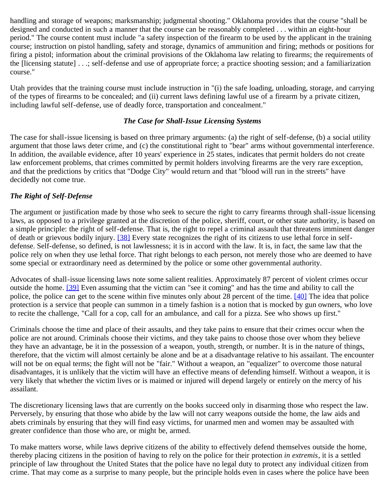handling and storage of weapons; marksmanship; judgmental shooting." Oklahoma provides that the course "shall be designed and conducted in such a manner that the course can be reasonably completed . . . within an eight-hour period." The course content must include "a safety inspection of the firearm to be used by the applicant in the training course; instruction on pistol handling, safety and storage, dynamics of ammunition and firing; methods or positions for firing a pistol; information about the criminal provisions of the Oklahoma law relating to firearms; the requirements of the [licensing statute] . . .; self-defense and use of appropriate force; a practice shooting session; and a familiarization course."

Utah provides that the training course must include instruction in "(i) the safe loading, unloading, storage, and carrying of the types of firearms to be concealed; and (ii) current laws defining lawful use of a firearm by a private citizen, including lawful self-defense, use of deadly force, transportation and concealment."

### *The Case for Shall-Issue Licensing Systems*

The case for shall-issue licensing is based on three primary arguments: (a) the right of self-defense, (b) a social utility argument that those laws deter crime, and (c) the constitutional right to "bear" arms without governmental interference. In addition, the available evidence, after 10 years' experience in 25 states, indicates that permit holders do not create law enforcement problems, that crimes committed by permit holders involving firearms are the very rare exception, and that the predictions by critics that "Dodge City" would return and that "blood will run in the streets" have decidedly not come true.

# *The Right of Self-Defense*

The argument or justification made by those who seek to secure the right to carry firearms through shall-issue licensing laws, as opposed to a privilege granted at the discretion of the police, sheriff, court, or other state authority, is based on a simple principle: the right of self-defense. That is, the right to repel a criminal assault that threatens imminent danger of death or grievous bodily injury. [\[38\]](#page-29-17) Every state recognizes the right of its citizens to use lethal force in selfdefense. Self-defense, so defined, is not lawlessness; it is in accord with the law. It is, in fact, the same law that the police rely on when they use lethal force. That right belongs to each person, not merely those who are deemed to have some special or extraordinary need as determined by the police or some other governmental authority.

Advocates of shall-issue licensing laws note some salient realities. Approximately 87 percent of violent crimes occur outside the home. [\[39\]](#page-29-18) Even assuming that the victim can "see it coming" and has the time and ability to call the police, the police can get to the scene within five minutes only about 28 percent of the time. [\[40\]](#page-30-0) The idea that police protection is a service that people can summon in a timely fashion is a notion that is mocked by gun owners, who love to recite the challenge, "Call for a cop, call for an ambulance, and call for a pizza. See who shows up first."

Criminals choose the time and place of their assaults, and they take pains to ensure that their crimes occur when the police are not around. Criminals choose their victims, and they take pains to choose those over whom they believe they have an advantage, be it in the possession of a weapon, youth, strength, or number. It is in the nature of things, therefore, that the victim will almost certainly be alone and be at a disadvantage relative to his assailant. The encounter will not be on equal terms; the fight will not be "fair." Without a weapon, an "equalizer" to overcome those natural disadvantages, it is unlikely that the victim will have an effective means of defending himself. Without a weapon, it is very likely that whether the victim lives or is maimed or injured will depend largely or entirely on the mercy of his assailant.

The discretionary licensing laws that are currently on the books succeed only in disarming those who respect the law. Perversely, by ensuring that those who abide by the law will not carry weapons outside the home, the law aids and abets criminals by ensuring that they will find easy victims, for unarmed men and women may be assaulted with greater confidence than those who are, or might be, armed.

To make matters worse, while laws deprive citizens of the ability to effectively defend themselves outside the home, thereby placing citizens in the position of having to rely on the police for their protection *in extremis*, it is a settled principle of law throughout the United States that the police have no legal duty to protect any individual citizen from crime. That may come as a surprise to many people, but the principle holds even in cases where the police have been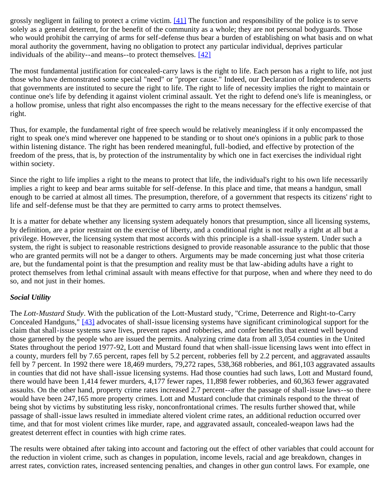grossly negligent in failing to protect a crime victim.  $[41]$  The function and responsibility of the police is to serve solely as a general deterrent, for the benefit of the community as a whole; they are not personal bodyguards. Those who would prohibit the carrying of arms for self-defense thus bear a burden of establishing on what basis and on what moral authority the government, having no obligation to protect any particular individual, deprives particular individuals of the ability--and means--to protect themselves. [\[42\]](#page-30-2)

The most fundamental justification for concealed-carry laws is the right to life. Each person has a right to life, not just those who have demonstrated some special "need" or "proper cause." Indeed, our Declaration of Independence asserts that governments are instituted to secure the right to life. The right to life of necessity implies the right to maintain or continue one's life by defending it against violent criminal assault. Yet the right to defend one's life is meaningless, or a hollow promise, unless that right also encompasses the right to the means necessary for the effective exercise of that right.

Thus, for example, the fundamental right of free speech would be relatively meaningless if it only encompassed the right to speak one's mind wherever one happened to be standing or to shout one's opinions in a public park to those within listening distance. The right has been rendered meaningful, full-bodied, and effective by protection of the freedom of the press, that is, by protection of the instrumentality by which one in fact exercises the individual right within society.

Since the right to life implies a right to the means to protect that life, the individual's right to his own life necessarily implies a right to keep and bear arms suitable for self-defense. In this place and time, that means a handgun, small enough to be carried at almost all times. The presumption, therefore, of a government that respects its citizens' right to life and self-defense must be that they are permitted to carry arms to protect themselves.

It is a matter for debate whether any licensing system adequately honors that presumption, since all licensing systems, by definition, are a prior restraint on the exercise of liberty, and a conditional right is not really a right at all but a privilege. However, the licensing system that most accords with this principle is a shall-issue system. Under such a system, the right is subject to reasonable restrictions designed to provide reasonable assurance to the public that those who are granted permits will not be a danger to others. Arguments may be made concerning just what those criteria are, but the fundamental point is that the presumption and reality must be that law-abiding adults have a right to protect themselves from lethal criminal assault with means effective for that purpose, when and where they need to do so, and not just in their homes.

#### *Social Utility*

The *Lott-Mustard Study*. With the publication of the Lott-Mustard study, "Crime, Deterrence and Right-to-Carry Concealed Handguns," [\[43\]](#page-30-3) advocates of shall-issue licensing systems have significant criminological support for the claim that shall-issue systems save lives, prevent rapes and robberies, and confer benefits that extend well beyond those garnered by the people who are issued the permits. Analyzing crime data from all 3,054 counties in the United States throughout the period 1977-92, Lott and Mustard found that when shall-issue licensing laws went into effect in a county, murders fell by 7.65 percent, rapes fell by 5.2 percent, robberies fell by 2.2 percent, and aggravated assaults fell by 7 percent. In 1992 there were 18,469 murders, 79,272 rapes, 538,368 robberies, and 861,103 aggravated assaults in counties that did not have shall-issue licensing systems. Had those counties had such laws, Lott and Mustard found, there would have been 1,414 fewer murders, 4,177 fewer rapes, 11,898 fewer robberies, and 60,363 fewer aggravated assaults. On the other hand, property crime rates increased 2.7 percent--after the passage of shall-issue laws--so there would have been 247,165 more property crimes. Lott and Mustard conclude that criminals respond to the threat of being shot by victims by substituting less risky, nonconfrontational crimes. The results further showed that, while passage of shall-issue laws resulted in immediate altered violent crime rates, an additional reduction occurred over time, and that for most violent crimes like murder, rape, and aggravated assault, concealed-weapon laws had the greatest deterrent effect in counties with high crime rates.

The results were obtained after taking into account and factoring out the effect of other variables that could account for the reduction in violent crime, such as changes in population, income levels, racial and age breakdown, changes in arrest rates, conviction rates, increased sentencing penalties, and changes in other gun control laws. For example, one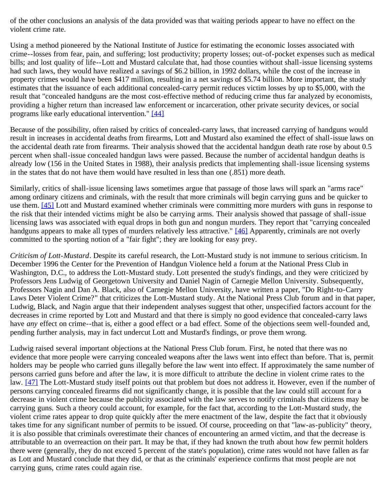of the other conclusions an analysis of the data provided was that waiting periods appear to have no effect on the violent crime rate.

Using a method pioneered by the National Institute of Justice for estimating the economic losses associated with crime--losses from fear, pain, and suffering; lost productivity; property losses; out-of-pocket expenses such as medical bills; and lost quality of life--Lott and Mustard calculate that, had those counties without shall-issue licensing systems had such laws, they would have realized a savings of \$6.2 billion, in 1992 dollars, while the cost of the increase in property crimes would have been \$417 million, resulting in a net savings of \$5.74 billion. More important, the study estimates that the issuance of each additional concealed-carry permit reduces victim losses by up to \$5,000, with the result that "concealed handguns are the most cost-effective method of reducing crime thus far analyzed by economists, providing a higher return than increased law enforcement or incarceration, other private security devices, or social programs like early educational intervention." [\[44\]](#page-30-4)

Because of the possibility, often raised by critics of concealed-carry laws, that increased carrying of handguns would result in increases in accidental deaths from firearms, Lott and Mustard also examined the effect of shall-issue laws on the accidental death rate from firearms. Their analysis showed that the accidental handgun death rate rose by about 0.5 percent when shall-issue concealed handgun laws were passed. Because the number of accidental handgun deaths is already low (156 in the United States in 1988), their analysis predicts that implementing shall-issue licensing systems in the states that do not have them would have resulted in less than one (.851) more death.

Similarly, critics of shall-issue licensing laws sometimes argue that passage of those laws will spark an "arms race" among ordinary citizens and criminals, with the result that more criminals will begin carrying guns and be quicker to use them. [\[45\]](#page-30-5) Lott and Mustard examined whether criminals were committing more murders with guns in response to the risk that their intended victims might be also be carrying arms. Their analysis showed that passage of shall-issue licensing laws was associated with equal drops in both gun and nongun murders. They report that "carrying concealed handguns appears to make all types of murders relatively less attractive." [\[46\]](#page-30-6) Apparently, criminals are not overly committed to the sporting notion of a "fair fight"; they are looking for easy prey.

*Criticism of Lott-Mustard*. Despite its careful research, the Lott-Mustard study is not immune to serious criticism. In December 1996 the Center for the Prevention of Handgun Violence held a forum at the National Press Club in Washington, D.C., to address the Lott-Mustard study. Lott presented the study's findings, and they were criticized by Professors Jens Ludwig of Georgetown University and Daniel Nagin of Carnegie Mellon University. Subsequently, Professors Nagin and Dan A. Black, also of Carnegie Mellon University, have written a paper, "Do Right-to-Carry Laws Deter Violent Crime?" that criticizes the Lott-Mustard study. At the National Press Club forum and in that paper, Ludwig, Black, and Nagin argue that their independent analyses suggest that other, unspecified factors account for the decreases in crime reported by Lott and Mustard and that there is simply no good evidence that concealed-carry laws have *any* effect on crime--that is, either a good effect or a bad effect. Some of the objections seem well-founded and, pending further analysis, may in fact undercut Lott and Mustard's findings, or prove them wrong.

Ludwig raised several important objections at the National Press Club forum. First, he noted that there was no evidence that more people were carrying concealed weapons after the laws went into effect than before. That is, permit holders may be people who carried guns illegally before the law went into effect. If approximately the same number of persons carried guns before and after the law, it is more difficult to attribute the decline in violent crime rates to the law. [\[47\]](#page-30-7) The Lott-Mustard study itself points out that problem but does not address it. However, even if the number of persons carrying concealed firearms did not significantly change, it is possible that the law could still account for a decrease in violent crime because the publicity associated with the law serves to notify criminals that citizens may be carrying guns. Such a theory could account, for example, for the fact that, according to the Lott-Mustard study, the violent crime rates appear to drop quite quickly after the mere enactment of the law, despite the fact that it obviously takes time for any significant number of permits to be issued. Of course, proceeding on that "law-as-publicity" theory, it is also possible that criminals overestimate their chances of encountering an armed victim, and that the decrease is attributable to an overreaction on their part. It may be that, if they had known the truth about how few permit holders there were (generally, they do not exceed 5 percent of the state's population), crime rates would not have fallen as far as Lott and Mustard conclude that they did, or that as the criminals' experience confirms that most people are not carrying guns, crime rates could again rise.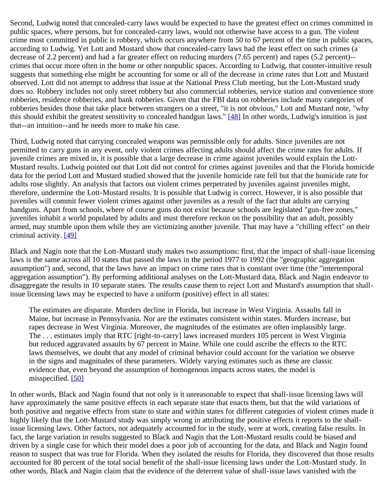Second, Ludwig noted that concealed-carry laws would be expected to have the greatest effect on crimes committed in public spaces, where persons, but for concealed-carry laws, would not otherwise have access to a gun. The violent crime most committed in public is robbery, which occurs anywhere from 50 to 67 percent of the time in public spaces, according to Ludwig. Yet Lott and Mustard show that concealed-carry laws had the least effect on such crimes (a decrease of 2.2 percent) and had a far greater effect on reducing murders (7.65 percent) and rapes (5.2 percent)- crimes that occur more often in the home or other nonpublic spaces. According to Ludwig, that counter-intuitive result suggests that something else might be accounting for some or all of the decrease in crime rates that Lott and Mustard observed. Lott did not attempt to address that issue at the National Press Club meeting, but the Lott-Mustard study does so. Robbery includes not only street robbery but also commercial robberies, service station and convenience store robberies, residence robberies, and bank robberies. Given that the FBI data on robberies include many categories of robberies besides those that take place between strangers on a street, "it is not obvious," Lott and Mustard note, "why this should exhibit the greatest sensitivity to concealed handgun laws." [\[48\]](#page-30-8) In other words, Ludwig's intuition is just that--an intuition--and he needs more to make his case.

Third, Ludwig noted that carrying concealed weapons was permissible only for adults. Since juveniles are not permitted to carry guns in any event, only violent crimes affecting adults should affect the crime rates for adults. If juvenile crimes are mixed in, it is possible that a large decrease in crime against juveniles would explain the Lott-Mustard results. Ludwig pointed out that Lott did not control for crimes against juveniles and that the Florida homicide data for the period Lott and Mustard studied showed that the juvenile homicide rate fell but that the homicide rate for adults rose slightly. An analysis that factors out violent crimes perpetrated by juveniles against juveniles might, therefore, undermine the Lott-Mustard results. It is possible that Ludwig is correct. However, it is also possible that juveniles will commit fewer violent crimes against other juveniles as a result of the fact that adults are carrying handguns. Apart from schools, where of course guns do not exist because schools are legislated "gun-free zones," juveniles inhabit a world populated by adults and must therefore reckon on the possibility that an adult, possibly armed, may stumble upon them while they are victimizing another juvenile. That may have a "chilling effect" on their criminal activity. [\[49\]](#page-30-9)

Black and Nagin note that the Lott-Mustard study makes two assumptions: first, that the impact of shall-issue licensing laws is the same across all 10 states that passed the laws in the period 1977 to 1992 (the "geographic aggregation assumption") and, second, that the laws have an impact on crime rates that is constant over time (the "intertemporal aggregation assumption"). By performing additional analyses on the Lott-Mustard data, Black and Nagin endeavor to disaggregate the results in 10 separate states. The results cause them to reject Lott and Mustard's assumption that shallissue licensing laws may be expected to have a uniform (positive) effect in all states:

The estimates are disparate. Murders decline in Florida, but increase in West Virginia. Assaults fall in Maine, but increase in Pennsylvania. Nor are the estimates consistent within states. Murders increase, but rapes decrease in West Virginia. Moreover, the magnitudes of the estimates are often implausibly large. The . . . estimates imply that RTC [right-to-carry] laws increased murders 105 percent in West Virginia but reduced aggravated assaults by 67 percent in Maine. While one could ascribe the effects to the RTC laws themselves, we doubt that any model of criminal behavior could account for the variation we observe in the signs and magnitudes of these parameters. Widely varying estimates such as these are classic evidence that, even beyond the assumption of homogenous impacts across states, the model is misspecified. [\[50\]](#page-30-10)

In other words, Black and Nagin found that not only is it unreasonable to expect that shall-issue licensing laws will have approximately the same positive effects in each separate state that enacts them, but that the wild variations of both positive and negative effects from state to state and within states for different categories of violent crimes made it highly likely that the Lott-Mustard study was simply wrong in attributing the positive effects it reports to the shallissue licensing laws. Other factors, not adequately accounted for in the study, were at work, creating false results. In fact, the large variation in results suggested to Black and Nagin that the Lott-Mustard results could be biased and driven by a single case for which their model does a poor job of accounting for the data, and Black and Nagin found reason to suspect that was true for Florida. When they isolated the results for Florida, they discovered that those results accounted for 80 percent of the total social benefit of the shall-issue licensing laws under the Lott-Mustard study. In other words, Black and Nagin claim that the evidence of the deterrent value of shall-issue laws vanished with the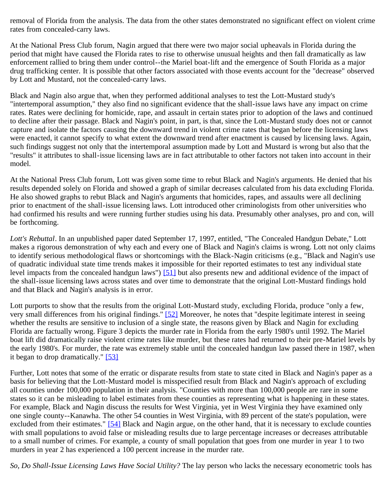removal of Florida from the analysis. The data from the other states demonstrated no significant effect on violent crime rates from concealed-carry laws.

At the National Press Club forum, Nagin argued that there were two major social upheavals in Florida during the period that might have caused the Florida rates to rise to otherwise unusual heights and then fall dramatically as law enforcement rallied to bring them under control--the Mariel boat-lift and the emergence of South Florida as a major drug trafficking center. It is possible that other factors associated with those events account for the "decrease" observed by Lott and Mustard, not the concealed-carry laws.

Black and Nagin also argue that, when they performed additional analyses to test the Lott-Mustard study's "intertemporal assumption," they also find no significant evidence that the shall-issue laws have any impact on crime rates. Rates were declining for homicide, rape, and assault in certain states prior to adoption of the laws and continued to decline after their passage. Black and Nagin's point, in part, is that, since the Lott-Mustard study does not or cannot capture and isolate the factors causing the downward trend in violent crime rates that began before the licensing laws were enacted, it cannot specify to what extent the downward trend after enactment is caused by licensing laws. Again, such findings suggest not only that the intertemporal assumption made by Lott and Mustard is wrong but also that the "results" it attributes to shall-issue licensing laws are in fact attributable to other factors not taken into account in their model.

At the National Press Club forum, Lott was given some time to rebut Black and Nagin's arguments. He denied that his results depended solely on Florida and showed a graph of similar decreases calculated from his data excluding Florida. He also showed graphs to rebut Black and Nagin's arguments that homicides, rapes, and assaults were all declining prior to enactment of the shall-issue licensing laws. Lott introduced other criminologists from other universities who had confirmed his results and were running further studies using his data. Presumably other analyses, pro and con, will be forthcoming.

*Lott's Rebuttal*. In an unpublished paper dated September 17, 1997, entitled, "The Concealed Handgun Debate," Lott makes a rigorous demonstration of why each and every one of Black and Nagin's claims is wrong. Lott not only claims to identify serious methodological flaws or shortcomings with the Black-Nagin criticisms (e.g., "Black and Nagin's use of quadratic individual state time trends makes it impossible for their reported estimates to test any individual state level impacts from the concealed handgun laws") [\[51\]](#page-30-11) but also presents new and additional evidence of the impact of the shall-issue licensing laws across states and over time to demonstrate that the original Lott-Mustard findings hold and that Black and Nagin's analysis is in error.

Lott purports to show that the results from the original Lott-Mustard study, excluding Florida, produce "only a few, very small differences from his original findings." [\[52\]](#page-30-12) Moreover, he notes that "despite legitimate interest in seeing whether the results are sensitive to inclusion of a single state, the reasons given by Black and Nagin for excluding Florida are factually wrong. Figure 3 depicts the murder rate in Florida from the early 1980's until 1992. The Mariel boat lift did dramatically raise violent crime rates like murder, but these rates had returned to their pre-Mariel levels by the early 1980's. For murder, the rate was extremely stable until the concealed handgun law passed there in 1987, when it began to drop dramatically." [\[53\]](#page-30-13)

Further, Lott notes that some of the erratic or disparate results from state to state cited in Black and Nagin's paper as a basis for believing that the Lott-Mustard model is misspecified result from Black and Nagin's approach of excluding all counties under 100,000 population in their analysis. "Counties with more than 100,000 people are rare in some states so it can be misleading to label estimates from these counties as representing what is happening in these states. For example, Black and Nagin discuss the results for West Virginia, yet in West Virginia they have examined only one single county--Kanawha. The other 54 counties in West Virginia, with 89 percent of the state's population, were excluded from their estimates." [\[54\]](#page-30-14) Black and Nagin argue, on the other hand, that it is necessary to exclude counties with small populations to avoid false or misleading results due to large percentage increases or decreases attributable to a small number of crimes. For example, a county of small population that goes from one murder in year 1 to two murders in year 2 has experienced a 100 percent increase in the murder rate.

*So, Do Shall-Issue Licensing Laws Have Social Utility?* The lay person who lacks the necessary econometric tools has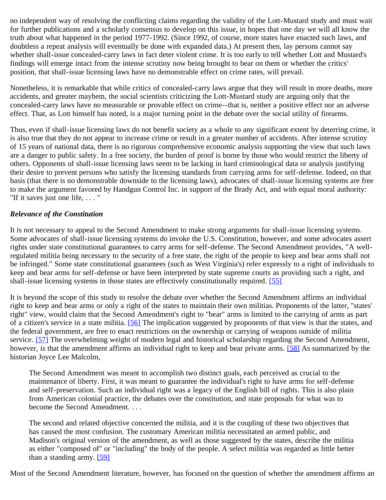no independent way of resolving the conflicting claims regarding the validity of the Lott-Mustard study and must wait for further publications and a scholarly consensus to develop on this issue, in hopes that one day we will all know the truth about what happened in the period 1977-1992. (Since 1992, of course, more states have enacted such laws, and doubtless a repeat analysis will eventually be done with expanded data.) At present then, lay persons cannot say whether shall-issue concealed-carry laws in fact deter violent crime. It is too early to tell whether Lott and Mustard's findings will emerge intact from the intense scrutiny now being brought to bear on them or whether the critics' position, that shall-issue licensing laws have no demonstrable effect on crime rates, will prevail.

Nonetheless, it is remarkable that while critics of concealed-carry laws argue that they will result in more deaths, more accidents, and greater mayhem, the social scientists criticizing the Lott-Mustard study are arguing only that the concealed-carry laws have no measurable or provable effect on crime--that is, neither a positive effect nor an adverse effect. That, as Lott himself has noted, is a major turning point in the debate over the social utility of firearms.

Thus, even if shall-issue licensing laws do not benefit society as a whole to any significant extent by deterring crime, it is also true that they do not appear to increase crime or result in a greater number of accidents. After intense scrutiny of 15 years of national data, there is no rigorous comprehensive economic analysis supporting the view that such laws are a danger to public safety. In a free society, the burden of proof is borne by those who would restrict the liberty of others. Opponents of shall-issue licensing laws seem to be lacking in hard criminological data or analysis justifying their desire to prevent persons who satisfy the licensing standards from carrying arms for self-defense. Indeed, on that basis (that there is no demonstrable downside to the licensing laws), advocates of shall-issue licensing systems are free to make the argument favored by Handgun Control Inc. in support of the Brady Act, and with equal moral authority: "If it saves just one life, . . . "

#### *Relevance of the Constitution*

It is not necessary to appeal to the Second Amendment to make strong arguments for shall-issue licensing systems. Some advocates of shall-issue licensing systems do invoke the U.S. Constitution, however, and some advocates assert rights under state constitutional guarantees to carry arms for self-defense. The Second Amendment provides, "A wellregulated militia being necessary to the security of a free state, the right of the people to keep and bear arms shall not be infringed." Some state constitutional guarantees (such as West Virginia's) refer expressly to a right of individuals to keep and bear arms for self-defense or have been interpreted by state supreme courts as providing such a right, and shall-issue licensing systems in those states are effectively constitutionally required. [\[55\]](#page-30-15)

It is beyond the scope of this study to resolve the debate over whether the Second Amendment affirms an individual right to keep and bear arms or only a right of the states to maintain their own militias. Proponents of the latter, "states' right" view, would claim that the Second Amendment's right to "bear" arms is limited to the carrying of arms as part of a citizen's service in a state militia. [\[56\]](#page-30-16) The implication suggested by proponents of that view is that the states, and the federal government, are free to enact restrictions on the ownership or carrying of weapons outside of militia service. [\[57\]](#page-31-0) The overwhelming weight of modern legal and historical scholarship regarding the Second Amendment, however, is that the amendment affirms an individual right to keep and bear private arms. [\[58\]](#page-31-1) As summarized by the historian Joyce Lee Malcolm,

The Second Amendment was meant to accomplish two distinct goals, each perceived as crucial to the maintenance of liberty. First, it was meant to guarantee the individual's right to have arms for self-defense and self-preservation. Such an individual right was a legacy of the English bill of rights. This is also plain from American colonial practice, the debates over the constitution, and state proposals for what was to become the Second Amendment. . . .

The second and related objective concerned the militia, and it is the coupling of these two objectives that has caused the most confusion. The customary American militia necessitated an armed public, and Madison's original version of the amendment, as well as those suggested by the states, describe the militia as either "composed of" or "including" the body of the people. A select militia was regarded as little better than a standing army. [\[59\]](#page-31-2)

Most of the Second Amendment literature, however, has focused on the question of whether the amendment affirms an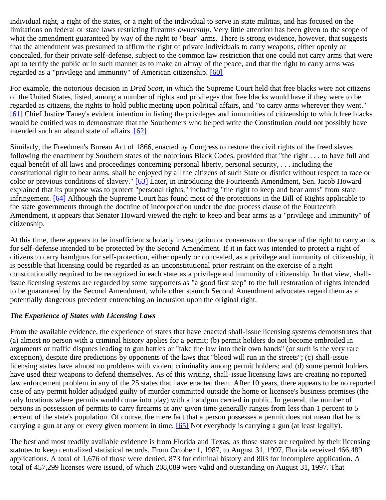individual right, a right of the states, or a right of the individual to serve in state militias, and has focused on the limitations on federal or state laws restricting firearms *ownership*. Very little attention has been given to the scope of what the amendment guaranteed by way of the right to "bear" arms. There is strong evidence, however, that suggests that the amendment was presumed to affirm the right of private individuals to carry weapons, either openly or concealed, for their private self-defense, subject to the common law restriction that one could not carry arms that were apt to terrify the public or in such manner as to make an affray of the peace, and that the right to carry arms was regarded as a "privilege and immunity" of American citizenship. [\[60\]](#page-31-3)

For example, the notorious decision in *Dred Scott*, in which the Supreme Court held that free blacks were not citizens of the United States, listed, among a number of rights and privileges that free blacks would have if they were to be regarded as citizens, the rights to hold public meeting upon political affairs, and "to carry arms wherever they went." [\[61\]](#page-31-4) Chief Justice Taney's evident intention in listing the privileges and immunities of citizenship to which free blacks would be entitled was to demonstrate that the Southerners who helped write the Constitution could not possibly have intended such an absurd state of affairs. [\[62\]](#page-31-5)

Similarly, the Freedmen's Bureau Act of 1866, enacted by Congress to restore the civil rights of the freed slaves following the enactment by Southern states of the notorious Black Codes, provided that "the right . . . to have full and equal benefit of all laws and proceedings concerning personal liberty, personal security, . . . including the constitutional right to bear arms, shall be enjoyed by all the citizens of such State or district without respect to race or color or previous conditions of slavery." [\[63\]](#page-31-6) Later, in introducing the Fourteenth Amendment, Sen. Jacob Howard explained that its purpose was to protect "personal rights," including "the right to keep and bear arms" from state infringement. [\[64\]](#page-31-7) Although the Supreme Court has found most of the protections in the Bill of Rights applicable to the state governments through the doctrine of incorporation under the due process clause of the Fourteenth Amendment, it appears that Senator Howard viewed the right to keep and bear arms as a "privilege and immunity" of citizenship.

At this time, there appears to be insufficient scholarly investigation or consensus on the scope of the right to carry arms for self-defense intended to be protected by the Second Amendment. If it in fact was intended to protect a right of citizens to carry handguns for self-protection, either openly or concealed, as a privilege and immunity of citizenship, it is possible that licensing could be regarded as an unconstitutional prior restraint on the exercise of a right constitutionally required to be recognized in each state as a privilege and immunity of citizenship. In that view, shallissue licensing systems are regarded by some supporters as "a good first step" to the full restoration of rights intended to be guaranteed by the Second Amendment, while other staunch Second Amendment advocates regard them as a potentially dangerous precedent entrenching an incursion upon the original right.

#### *The Experience of States with Licensing Laws*

From the available evidence, the experience of states that have enacted shall-issue licensing systems demonstrates that (a) almost no person with a criminal history applies for a permit; (b) permit holders do not become embroiled in arguments or traffic disputes leading to gun battles or "take the law into their own hands" (or such is the very rare exception), despite dire predictions by opponents of the laws that "blood will run in the streets"; (c) shall-issue licensing states have almost no problems with violent criminality among permit holders; and (d) some permit holders have used their weapons to defend themselves. As of this writing, shall-issue licensing laws are creating no reported law enforcement problem in any of the 25 states that have enacted them. After 10 years, there appears to be no reported case of any permit holder adjudged guilty of murder committed outside the home or licensee's business premises (the only locations where permits would come into play) with a handgun carried in public. In general, the number of persons in possession of permits to carry firearms at any given time generally ranges from less than 1 percent to 5 percent of the state's population. Of course, the mere fact that a person possesses a permit does not mean that he is carrying a gun at any or every given moment in time. [\[65\]](#page-31-8) Not everybody is carrying a gun (at least legally).

The best and most readily available evidence is from Florida and Texas, as those states are required by their licensing statutes to keep centralized statistical records. From October 1, 1987, to August 31, 1997, Florida received 466,489 applications. A total of 1,676 of those were denied, 873 for criminal history and 803 for incomplete application. A total of 457,299 licenses were issued, of which 208,089 were valid and outstanding on August 31, 1997. That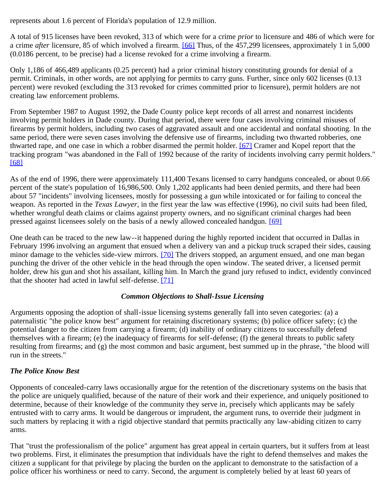represents about 1.6 percent of Florida's population of 12.9 million.

A total of 915 licenses have been revoked, 313 of which were for a crime *prior* to licensure and 486 of which were for a crime *after* licensure, 85 of which involved a firearm. [\[66\]](#page-31-9) Thus, of the 457,299 licensees, approximately 1 in 5,000 (0.0186 percent, to be precise) had a license revoked for a crime involving a firearm.

Only 1,186 of 466,489 applicants (0.25 percent) had a prior criminal history constituting grounds for denial of a permit. Criminals, in other words, are not applying for permits to carry guns. Further, since only 602 licenses (0.13 percent) were revoked (excluding the 313 revoked for crimes committed prior to licensure), permit holders are not creating law enforcement problems.

From September 1987 to August 1992, the Dade County police kept records of all arrest and nonarrest incidents involving permit holders in Dade county. During that period, there were four cases involving criminal misuses of firearms by permit holders, including two cases of aggravated assault and one accidental and nonfatal shooting. In the same period, there were seven cases involving the defensive use of firearms, including two thwarted robberies, one thwarted rape, and one case in which a robber disarmed the permit holder. [\[67\]](#page-31-10) Cramer and Kopel report that the tracking program "was abandoned in the Fall of 1992 because of the rarity of incidents involving carry permit holders." [\[68\]](#page-31-11)

As of the end of 1996, there were approximately 111,400 Texans licensed to carry handguns concealed, or about 0.66 percent of the state's population of 16,986,500. Only 1,202 applicants had been denied permits, and there had been about 57 "incidents" involving licensees, mostly for possessing a gun while intoxicated or for failing to conceal the weapon. As reported in the *Texas Lawyer*, in the first year the law was effective (1996), no civil suits had been filed, whether wrongful death claims or claims against property owners, and no significant criminal charges had been pressed against licensees solely on the basis of a newly allowed concealed handgun. [\[69\]](#page-31-12)

One death can be traced to the new law--it happened during the highly reported incident that occurred in Dallas in February 1996 involving an argument that ensued when a delivery van and a pickup truck scraped their sides, causing minor damage to the vehicles side-view mirrors. [\[70\]](#page-31-13) The drivers stopped, an argument ensued, and one man began punching the driver of the other vehicle in the head through the open window. The seated driver, a licensed permit holder, drew his gun and shot his assailant, killing him. In March the grand jury refused to indict, evidently convinced that the shooter had acted in lawful self-defense. [\[71\]](#page-31-14)

#### *Common Objections to Shall-Issue Licensing*

Arguments opposing the adoption of shall-issue licensing systems generally fall into seven categories: (a) a paternalistic "the police know best" argument for retaining discretionary systems; (b) police officer safety; (c) the potential danger to the citizen from carrying a firearm; (d) inability of ordinary citizens to successfully defend themselves with a firearm; (e) the inadequacy of firearms for self-defense; (f) the general threats to public safety resulting from firearms; and (g) the most common and basic argument, best summed up in the phrase, "the blood will run in the streets."

# *The Police Know Best*

Opponents of concealed-carry laws occasionally argue for the retention of the discretionary systems on the basis that the police are uniquely qualified, because of the nature of their work and their experience, and uniquely positioned to determine, because of their knowledge of the community they serve in, precisely which applicants may be safely entrusted with to carry arms. It would be dangerous or imprudent, the argument runs, to override their judgment in such matters by replacing it with a rigid objective standard that permits practically any law-abiding citizen to carry arms.

That "trust the professionalism of the police" argument has great appeal in certain quarters, but it suffers from at least two problems. First, it eliminates the presumption that individuals have the right to defend themselves and makes the citizen a supplicant for that privilege by placing the burden on the applicant to demonstrate to the satisfaction of a police officer his worthiness or need to carry. Second, the argument is completely belied by at least 60 years of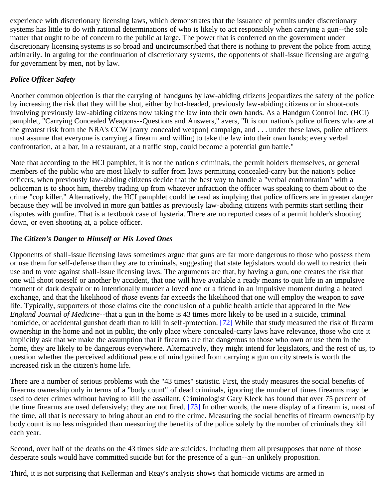experience with discretionary licensing laws, which demonstrates that the issuance of permits under discretionary systems has little to do with rational determinations of who is likely to act responsibly when carrying a gun--the sole matter that ought to be of concern to the public at large. The power that is conferred on the government under discretionary licensing systems is so broad and uncircumscribed that there is nothing to prevent the police from acting arbitrarily. In arguing for the continuation of discretionary systems, the opponents of shall-issue licensing are arguing for government by men, not by law.

# *Police Officer Safety*

Another common objection is that the carrying of handguns by law-abiding citizens jeopardizes the safety of the police by increasing the risk that they will be shot, either by hot-headed, previously law-abiding citizens or in shoot-outs involving previously law-abiding citizens now taking the law into their own hands. As a Handgun Control Inc. (HCI) pamphlet, "Carrying Concealed Weapons--Questions and Answers," avers, "It is our nation's police officers who are at the greatest risk from the NRA's CCW [carry concealed weapon] campaign, and . . . under these laws, police officers must assume that everyone is carrying a firearm and willing to take the law into their own hands; every verbal confrontation, at a bar, in a restaurant, at a traffic stop, could become a potential gun battle."

Note that according to the HCI pamphlet, it is not the nation's criminals, the permit holders themselves, or general members of the public who are most likely to suffer from laws permitting concealed-carry but the nation's police officers, when previously law-abiding citizens decide that the best way to handle a "verbal confrontation" with a policeman is to shoot him, thereby trading up from whatever infraction the officer was speaking to them about to the crime "cop killer." Alternatively, the HCI pamphlet could be read as implying that police officers are in greater danger because they will be involved in more gun battles as previously law-abiding citizens with permits start settling their disputes with gunfire. That is a textbook case of hysteria. There are no reported cases of a permit holder's shooting down, or even shooting at, a police officer.

# *The Citizen's Danger to Himself or His Loved Ones*

Opponents of shall-issue licensing laws sometimes argue that guns are far more dangerous to those who possess them or use them for self-defense than they are to criminals, suggesting that state legislators would do well to restrict their use and to vote against shall-issue licensing laws. The arguments are that, by having a gun, one creates the risk that one will shoot oneself or another by accident, that one will have available a ready means to quit life in an impulsive moment of dark despair or to intentionally murder a loved one or a friend in an impulsive moment during a heated exchange, and that the likelihood of *those* events far exceeds the likelihood that one will employ the weapon to *save* life. Typically, supporters of those claims cite the conclusion of a public health article that appeared in the *New England Journal of Medicine*--that a gun in the home is 43 times more likely to be used in a suicide, criminal homicide, or accidental gunshot death than to kill in self-protection. [\[72\]](#page-31-15) While that study measured the risk of firearm ownership in the home and not in public, the only place where concealed-carry laws have relevance, those who cite it implicitly ask that we make the assumption that if firearms are that dangerous to those who own or use them in the home, they are likely to be dangerous everywhere. Alternatively, they might intend for legislators, and the rest of us, to question whether the perceived additional peace of mind gained from carrying a gun on city streets is worth the increased risk in the citizen's home life.

There are a number of serious problems with the "43 times" statistic. First, the study measures the social benefits of firearms ownership only in terms of a "body count" of dead criminals, ignoring the number of times firearms may be used to deter crimes without having to kill the assailant. Criminologist Gary Kleck has found that over 75 percent of the time firearms are used defensively; they are not fired. [\[73\]](#page-31-16) In other words, the mere display of a firearm is, most of the time, all that is necessary to bring about an end to the crime. Measuring the social benefits of firearm ownership by body count is no less misguided than measuring the benefits of the police solely by the number of criminals they kill each year.

Second, over half of the deaths on the 43 times side are suicides. Including them all presupposes that none of those desperate souls would have committed suicide but for the presence of a gun--an unlikely proposition.

Third, it is not surprising that Kellerman and Reay's analysis shows that homicide victims are armed in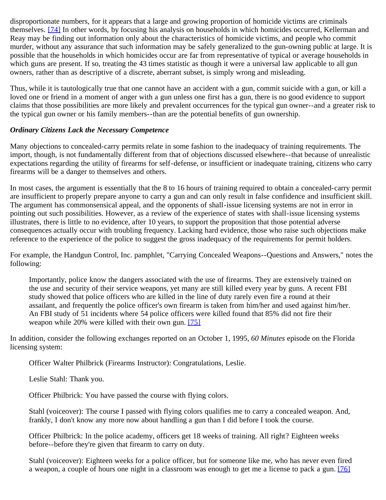disproportionate numbers, for it appears that a large and growing proportion of homicide victims are criminals themselves. [\[74\]](#page-31-17) In other words, by focusing his analysis on households in which homicides occurred, Kellerman and Reay may be finding out information only about the characteristics of homicide victims, and people who commit murder, without any assurance that such information may be safely generalized to the gun-owning public at large. It is possible that the households in which homicides occur are far from representative of typical or average households in which guns are present. If so, treating the 43 times statistic as though it were a universal law applicable to all gun owners, rather than as descriptive of a discrete, aberrant subset, is simply wrong and misleading.

Thus, while it is tautologically true that one cannot have an accident with a gun, commit suicide with a gun, or kill a loved one or friend in a moment of anger with a gun unless one first has a gun, there is no good evidence to support claims that those possibilities are more likely and prevalent occurrences for the typical gun owner--and a greater risk to the typical gun owner or his family members--than are the potential benefits of gun ownership.

#### *Ordinary Citizens Lack the Necessary Competence*

Many objections to concealed-carry permits relate in some fashion to the inadequacy of training requirements. The import, though, is not fundamentally different from that of objections discussed elsewhere--that because of unrealistic expectations regarding the utility of firearms for self-defense, or insufficient or inadequate training, citizens who carry firearms will be a danger to themselves and others.

In most cases, the argument is essentially that the 8 to 16 hours of training required to obtain a concealed-carry permit are insufficient to properly prepare anyone to carry a gun and can only result in false confidence and insufficient skill. The argument has commonsensical appeal, and the opponents of shall-issue licensing systems are not in error in pointing out such possibilities. However, as a review of the experience of states with shall-issue licensing systems illustrates, there is little to no evidence, after 10 years, to support the proposition that those potential adverse consequences actually occur with troubling frequency. Lacking hard evidence, those who raise such objections make reference to the experience of the police to suggest the gross inadequacy of the requirements for permit holders.

For example, the Handgun Control, Inc. pamphlet, "Carrying Concealed Weapons--Questions and Answers," notes the following:

Importantly, police know the dangers associated with the use of firearms. They are extensively trained on the use and security of their service weapons, yet many are still killed every year by guns. A recent FBI study showed that police officers who are killed in the line of duty rarely even fire a round at their assailant, and frequently the police officer's own firearm is taken from him/her and used against him/her. An FBI study of 51 incidents where 54 police officers were killed found that 85% did not fire their weapon while 20% were killed with their own gun. [\[75\]](#page-31-18)

In addition, consider the following exchanges reported on an October 1, 1995, *60 Minutes* episode on the Florida licensing system:

Officer Walter Philbrick (Firearms Instructor): Congratulations, Leslie.

Leslie Stahl: Thank you.

Officer Philbrick: You have passed the course with flying colors.

Stahl (voiceover): The course I passed with flying colors qualifies me to carry a concealed weapon. And, frankly, I don't know any more now about handling a gun than I did before I took the course.

Officer Philbrick: In the police academy, officers get 18 weeks of training. All right? Eighteen weeks before--before they're given that firearm to carry on duty.

Stahl (voiceover): Eighteen weeks for a police officer, but for someone like me, who has never even fired a weapon, a couple of hours one night in a classroom was enough to get me a license to pack a gun. [\[76\]](#page-32-0)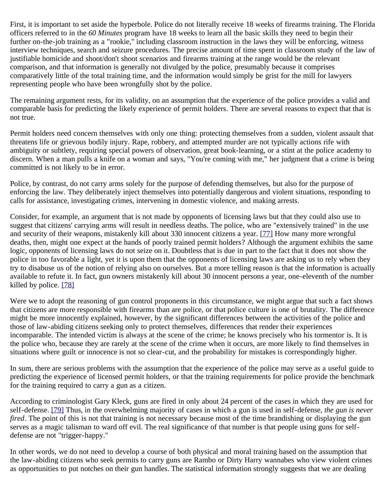First, it is important to set aside the hyperbole. Police do not literally receive 18 weeks of firearms training. The Florida officers referred to in the *60 Minutes* program have 18 weeks to learn all the basic skills they need to begin their further on-the-job training as a "rookie," including classroom instruction in the laws they will be enforcing, witness interview techniques, search and seizure procedures. The precise amount of time spent in classroom study of the law of justifiable homicide and shoot/don't shoot scenarios and firearms training at the range would be the relevant comparison, and that information is generally not divulged by the police, presumably because it comprises comparatively little of the total training time, and the information would simply be grist for the mill for lawyers representing people who have been wrongfully shot by the police.

The remaining argument rests, for its validity, on an assumption that the experience of the police provides a valid and comparable basis for predicting the likely experience of permit holders. There are several reasons to expect that that is not true.

Permit holders need concern themselves with only one thing: protecting themselves from a sudden, violent assault that threatens life or grievous bodily injury. Rape, robbery, and attempted murder are not typically actions rife with ambiguity or subtlety, requiring special powers of observation, great book-learning, or a stint at the police academy to discern. When a man pulls a knife on a woman and says, "You're coming with me," her judgment that a crime is being committed is not likely to be in error.

Police, by contrast, do not carry arms solely for the purpose of defending themselves, but also for the purpose of enforcing the law. They deliberately inject themselves into potentially dangerous and violent situations, responding to calls for assistance, investigating crimes, intervening in domestic violence, and making arrests.

Consider, for example, an argument that is not made by opponents of licensing laws but that they could also use to suggest that citizens' carrying arms will result in needless deaths. The police, who are "extensively trained" in the use and security of their weapons, mistakenly kill about 330 innocent citizens a year. [\[77\]](#page-32-1) How many more wrongful deaths, then, might one expect at the hands of poorly trained permit holders? Although the argument exhibits the same logic, opponents of licensing laws do not seize on it. Doubtless that is due in part to the fact that it does not show the police in too favorable a light, yet it is upon them that the opponents of licensing laws are asking us to rely when they try to disabuse us of the notion of relying also on ourselves. But a more telling reason is that the information is actually available to refute it. In fact, gun owners mistakenly kill about 30 innocent persons a year, one-eleventh of the number killed by police. [\[78\]](#page-32-2)

Were we to adopt the reasoning of gun control proponents in this circumstance, we might argue that such a fact shows that citizens are more responsible with firearms than are police, or that police culture is one of brutality. The difference might be more innocently explained, however, by the significant differences between the activities of the police and those of law-abiding citizens seeking only to protect themselves, differences that render their experiences incomparable. The intended victim is always at the scene of the crime; he knows precisely who his tormentor is. It is the police who, because they are rarely at the scene of the crime when it occurs, are more likely to find themselves in situations where guilt or innocence is not so clear-cut, and the probability for mistakes is correspondingly higher.

In sum, there are serious problems with the assumption that the experience of the police may serve as a useful guide to predicting the experience of licensed permit holders, or that the training requirements for police provide the benchmark for the training required to carry a gun as a citizen.

According to criminologist Gary Kleck, guns are fired in only about 24 percent of the cases in which they are used for self-defense. [\[79\]](#page-32-3) Thus, in the overwhelming majority of cases in which a gun is used in self-defense, *the gun is never fired*. The point of this is not that training is not necessary because most of the time brandishing or displaying the gun serves as a magic talisman to ward off evil. The real significance of that number is that people using guns for selfdefense are not "trigger-happy."

In other words, we do not need to develop a course of both physical and moral training based on the assumption that the law-abiding citizens who seek permits to carry guns are Rambo or Dirty Harry wannabes who view violent crimes as opportunities to put notches on their gun handles. The statistical information strongly suggests that we are dealing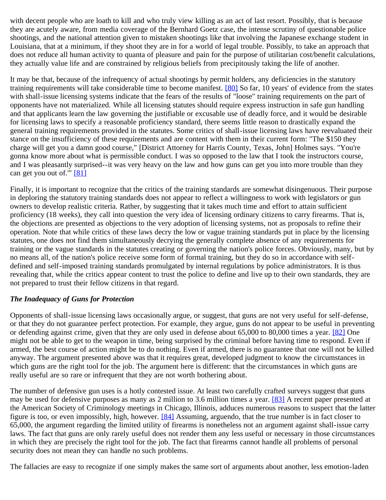with decent people who are loath to kill and who truly view killing as an act of last resort. Possibly, that is because they are acutely aware, from media coverage of the Bernhard Goetz case, the intense scrutiny of questionable police shootings, and the national attention given to mistaken shootings like that involving the Japanese exchange student in Louisiana, that at a minimum, if they shoot they are in for a world of legal trouble. Possibly, to take an approach that does not reduce all human activity to quanta of pleasure and pain for the purpose of utilitarian cost/benefit calculations, they actually value life and are constrained by religious beliefs from precipitously taking the life of another.

It may be that, because of the infrequency of actual shootings by permit holders, any deficiencies in the statutory training requirements will take considerable time to become manifest. [\[80\]](#page-32-4) So far, 10 years' of evidence from the states with shall-issue licensing systems indicate that the fears of the results of "loose" training requirements on the part of opponents have not materialized. While all licensing statutes should require express instruction in safe gun handling and that applicants learn the law governing the justifiable or excusable use of deadly force, and it would be desirable for licensing laws to specify a reasonable proficiency standard, there seems little reason to drastically expand the general training requirements provided in the statutes. Some critics of shall-issue licensing laws have reevaluated their stance on the insufficiency of these requirements and are content with them in their current form: "The \$150 they charge will get you a damn good course," [District Attorney for Harris County, Texas, John] Holmes says. "You're gonna know more about what is permissible conduct. I was so opposed to the law that I took the instructors course, and I was pleasantly surprised--it was very heavy on the law and how guns can get you into more trouble than they can get you out of."" [\[81\]](#page-32-5)

Finally, it is important to recognize that the critics of the training standards are somewhat disingenuous. Their purpose in deploring the statutory training standards does not appear to reflect a willingness to work with legislators or gun owners to develop realistic criteria. Rather, by suggesting that it takes much time and effort to attain sufficient proficiency (18 weeks), they call into question the very idea of licensing ordinary citizens to carry firearms. That is, the objections are presented as objections to the very adoption of licensing systems, not as proposals to refine their operation. Note that while critics of these laws decry the low or vague training standards put in place by the licensing statutes, one does not find them simultaneously decrying the generally complete absence of any requirements for training or the vague standards in the statutes creating or governing the nation's police forces. Obviously, many, but by no means all, of the nation's police receive some form of formal training, but they do so in accordance with selfdefined and self-imposed training standards promulgated by internal regulations by police administrators. It is thus revealing that, while the critics appear content to trust the police to define and live up to their own standards, they are not prepared to trust their fellow citizens in that regard.

#### *The Inadequacy of Guns for Protection*

Opponents of shall-issue licensing laws occasionally argue, or suggest, that guns are not very useful for self-defense, or that they do not guarantee perfect protection. For example, they argue, guns do not appear to be useful in preventing or defending against crime, given that they are only used in defense about 65,000 to 80,000 times a year. [\[82\]](#page-32-6) One might not be able to get to the weapon in time, being surprised by the criminal before having time to respond. Even if armed, the best course of action might be to do nothing. Even if armed, there is no guarantee that one will not be killed anyway. The argument presented above was that it requires great, developed judgment to know the circumstances in which guns are the right tool for the job. The argument here is different: that the circumstances in which guns are really useful are so rare or infrequent that they are not worth bothering about.

The number of defensive gun uses is a hotly contested issue. At least two carefully crafted surveys suggest that guns may be used for defensive purposes as many as 2 million to 3.6 million times a year. [\[83\]](#page-32-7) A recent paper presented at the American Society of Criminology meetings in Chicago, Illinois, adduces numerous reasons to suspect that the latter figure is too, or even impossibly, high, however. [\[84\]](#page-32-8) Assuming, arguendo, that the true number is in fact closer to 65,000, the argument regarding the limited utility of firearms is nonetheless not an argument against shall-issue carry laws. The fact that guns are only rarely useful does not render them any less useful or necessary in those circumstances in which they are precisely the right tool for the job. The fact that firearms cannot handle all problems of personal security does not mean they can handle no such problems.

The fallacies are easy to recognize if one simply makes the same sort of arguments about another, less emotion-laden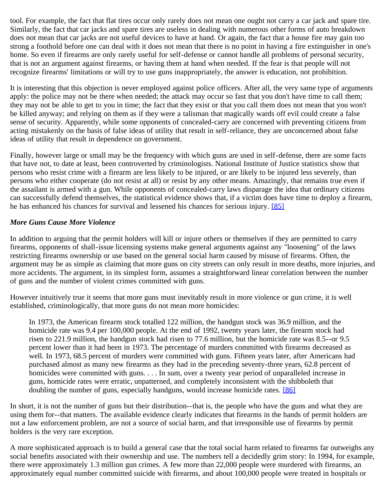tool. For example, the fact that flat tires occur only rarely does not mean one ought not carry a car jack and spare tire. Similarly, the fact that car jacks and spare tires are useless in dealing with numerous other forms of auto breakdown does not mean that car jacks are not useful devices to have at hand. Or again, the fact that a house fire may gain too strong a foothold before one can deal with it does not mean that there is no point in having a fire extinguisher in one's home. So even if firearms are only rarely useful for self-defense or cannot handle all problems of personal security, that is not an argument against firearms, or having them at hand when needed. If the fear is that people will not recognize firearms' limitations or will try to use guns inappropriately, the answer is education, not prohibition.

It is interesting that this objection is never employed against police officers. After all, the very same type of arguments apply: the police may not be there when needed; the attack may occur so fast that you don't have time to call them; they may not be able to get to you in time; the fact that they exist or that you call them does not mean that you won't be killed anyway; and relying on them as if they were a talisman that magically wards off evil could create a false sense of security. Apparently, while some opponents of concealed-carry are concerned with preventing citizens from acting mistakenly on the basis of false ideas of utility that result in self-reliance, they are unconcerned about false ideas of utility that result in dependence on government.

Finally, however large or small may be the frequency with which guns are used in self-defense, there are some facts that have not, to date at least, been controverted by criminologists. National Institute of Justice statistics show that persons who resist crime with a firearm are less likely to be injured, or are likely to be injured less severely, than persons who either cooperate (do not resist at all) or resist by any other means. Amazingly, that remains true even if the assailant is armed with a gun. While opponents of concealed-carry laws disparage the idea that ordinary citizens can successfully defend themselves, the statistical evidence shows that, if a victim does have time to deploy a firearm, he has enhanced his chances for survival and lessened his chances for serious injury. [\[85\]](#page-32-9)

#### *More Guns Cause More Violence*

In addition to arguing that the permit holders will kill or injure others or themselves if they are permitted to carry firearms, opponents of shall-issue licensing systems make general arguments against any "loosening" of the laws restricting firearms ownership or use based on the general social harm caused by misuse of firearms. Often, the argument may be as simple as claiming that more guns on city streets can only result in more deaths, more injuries, and more accidents. The argument, in its simplest form, assumes a straightforward linear correlation between the number of guns and the number of violent crimes committed with guns.

However intuitively true it seems that more guns must inevitably result in more violence or gun crime, it is well established, criminologically, that more guns do not mean more homicides:

In 1973, the American firearm stock totalled 122 million, the handgun stock was 36.9 million, and the homicide rate was 9.4 per 100,000 people. At the end of 1992, twenty years later, the firearm stock had risen to 221.9 million, the handgun stock had risen to 77.6 million, but the homicide rate was 8.5--or 9.5 percent lower than it had been in 1973. The percentage of murders committed with firearms decreased as well. In 1973, 68.5 percent of murders were committed with guns. Fifteen years later, after Americans had purchased almost as many new firearms as they had in the preceding seventy-three years, 62.8 percent of homicides were committed with guns. . . . In sum, over a twenty year period of unparalleled increase in guns, homicide rates were erratic, unpatterned, and completely inconsistent with the shibboleth that doubling the number of guns, especially handguns, would increase homicide rates. [\[86\]](#page-32-10)

In short, it is not the number of guns but their distribution--that is, the people who have the guns and what they are using them for--that matters. The available evidence clearly indicates that firearms in the hands of permit holders are not a law enforcement problem, are not a source of social harm, and that irresponsible use of firearms by permit holders is the very rare exception.

A more sophisticated approach is to build a general case that the total social harm related to firearms far outweighs any social benefits associated with their ownership and use. The numbers tell a decidedly grim story: In 1994, for example, there were approximately 1.3 million gun crimes. A few more than 22,000 people were murdered with firearms, an approximately equal number committed suicide with firearms, and about 100,000 people were treated in hospitals or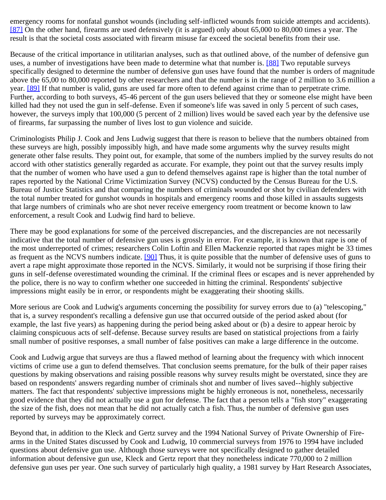emergency rooms for nonfatal gunshot wounds (including self-inflicted wounds from suicide attempts and accidents). [\[87\]](#page-32-11) On the other hand, firearms are used defensively (it is argued) only about 65,000 to 80,000 times a year. The result is that the societal costs associated with firearm misuse far exceed the societal benefits from their use.

Because of the critical importance in utilitarian analyses, such as that outlined above, of the number of defensive gun uses, a number of investigations have been made to determine what that number is. [\[88\]](#page-32-12) Two reputable surveys specifically designed to determine the number of defensive gun uses have found that the number is orders of magnitude above the 65,00 to 80,000 reported by other researchers and that the number is in the range of 2 million to 3.6 million a year. [\[89\]](#page-32-13) If that number is valid, guns are used far more often to defend against crime than to perpetrate crime. Further, according to both surveys, 45-46 percent of the gun users believed that they or someone else might have been killed had they not used the gun in self-defense. Even if someone's life was saved in only 5 percent of such cases, however, the surveys imply that 100,000 (5 percent of 2 million) lives would be saved each year by the defensive use of firearms, far surpassing the number of lives lost to gun violence and suicide.

Criminologists Philip J. Cook and Jens Ludwig suggest that there is reason to believe that the numbers obtained from these surveys are high, possibly impossibly high, and have made some arguments why the survey results might generate other false results. They point out, for example, that some of the numbers implied by the survey results do not accord with other statistics generally regarded as accurate. For example, they point out that the survey results imply that the number of women who have used a gun to defend themselves against rape is higher than the total number of rapes reported by the National Crime Victimization Survey (NCVS) conducted by the Census Bureau for the U.S. Bureau of Justice Statistics and that comparing the numbers of criminals wounded or shot by civilian defenders with the total number treated for gunshot wounds in hospitals and emergency rooms and those killed in assaults suggests that large numbers of criminals who are shot never receive emergency room treatment or become known to law enforcement, a result Cook and Ludwig find hard to believe.

There may be good explanations for some of the perceived discrepancies, and the discrepancies are not necessarily indicative that the total number of defensive gun uses is grossly in error. For example, it is known that rape is one of the most underreported of crimes; researchers Colin Loftin and Ellen Mackenzie reported that rapes might be 33 times as frequent as the NCVS numbers indicate. [\[90\]](#page-33-0) Thus, it is quite possible that the number of defensive uses of guns to avert a rape might approximate those reported in the NCVS. Similarly, it would not be surprising if those firing their guns in self-defense overestimated wounding the criminal. If the criminal flees or escapes and is never apprehended by the police, there is no way to confirm whether one succeeded in hitting the criminal. Respondents' subjective impressions might easily be in error, or respondents might be exaggerating their shooting skills.

More serious are Cook and Ludwig's arguments concerning the possibility for survey errors due to (a) "telescoping," that is, a survey respondent's recalling a defensive gun use that occurred outside of the period asked about (for example, the last five years) as happening during the period being asked about or (b) a desire to appear heroic by claiming conspicuous acts of self-defense. Because survey results are based on statistical projections from a fairly small number of positive responses, a small number of false positives can make a large difference in the outcome.

Cook and Ludwig argue that surveys are thus a flawed method of learning about the frequency with which innocent victims of crime use a gun to defend themselves. That conclusion seems premature, for the bulk of their paper raises questions by making observations and raising possible reasons why survey results might be overstated, since they are based on respondents' answers regarding number of criminals shot and number of lives saved--highly subjective matters. The fact that respondents' subjective impressions might be highly erroneous is not, nonetheless, necessarily good evidence that they did not actually use a gun for defense. The fact that a person tells a "fish story" exaggerating the size of the fish, does not mean that he did not actually catch a fish. Thus, the number of defensive gun uses reported by surveys may be approximately correct.

Beyond that, in addition to the Kleck and Gertz survey and the 1994 National Survey of Private Ownership of Firearms in the United States discussed by Cook and Ludwig, 10 commercial surveys from 1976 to 1994 have included questions about defensive gun use. Although those surveys were not specifically designed to gather detailed information about defensive gun use, Kleck and Gertz report that they nonetheless indicate 770,000 to 2 million defensive gun uses per year. One such survey of particularly high quality, a 1981 survey by Hart Research Associates,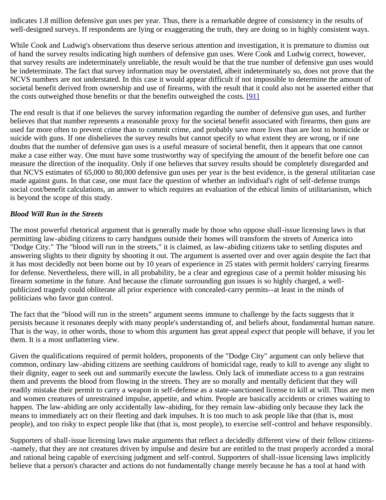indicates 1.8 million defensive gun uses per year. Thus, there is a remarkable degree of consistency in the results of well-designed surveys. If respondents are lying or exaggerating the truth, they are doing so in highly consistent ways.

While Cook and Ludwig's observations thus deserve serious attention and investigation, it is premature to dismiss out of hand the survey results indicating high numbers of defensive gun uses. Were Cook and Ludwig correct, however, that survey results are indeterminately unreliable, the result would be that the true number of defensive gun uses would be indeterminate. The fact that survey information may be overstated, albeit indeterminately so, does not prove that the NCVS numbers are not understated. In this case it would appear difficult if not impossible to determine the amount of societal benefit derived from ownership and use of firearms, with the result that it could also not be asserted either that the costs outweighed those benefits or that the benefits outweighed the costs. [\[91\]](#page-33-1)

The end result is that if one believes the survey information regarding the number of defensive gun uses, and further believes that that number represents a reasonable proxy for the societal benefit associated with firearms, then guns are used far more often to prevent crime than to commit crime, and probably save more lives than are lost to homicide or suicide with guns. If one disbelieves the survey results but cannot specify to what extent they are wrong, or if one doubts that the number of defensive gun uses is a useful measure of societal benefit, then it appears that one cannot make a case either way. One must have some trustworthy way of specifying the amount of the benefit before one can measure the direction of the inequality. Only if one believes that survey results should be completely disregarded and that NCVS estimates of 65,000 to 80,000 defensive gun uses per year is the best evidence, is the general utilitarian case made against guns. In that case, one must face the question of whether an individual's right of self-defense trumps social cost/benefit calculations, an answer to which requires an evaluation of the ethical limits of utilitarianism, which is beyond the scope of this study.

# *Blood Will Run in the Streets*

The most powerful rhetorical argument that is generally made by those who oppose shall-issue licensing laws is that permitting law-abiding citizens to carry handguns outside their homes will transform the streets of America into "Dodge City." The "blood will run in the streets," it is claimed, as law-abiding citizens take to settling disputes and answering slights to their dignity by shooting it out. The argument is asserted over and over again despite the fact that it has most decidedly not been borne out by 10 years of experience in 25 states with permit holders' carrying firearms for defense. Nevertheless, there will, in all probability, be a clear and egregious case of a permit holder misusing his firearm sometime in the future. And because the climate surrounding gun issues is so highly charged, a wellpublicized tragedy could obliterate all prior experience with concealed-carry permits--at least in the minds of politicians who favor gun control.

The fact that the "blood will run in the streets" argument seems immune to challenge by the facts suggests that it persists because it resonates deeply with many people's understanding of, and beliefs about, fundamental human nature. That is the way, in other words, those to whom this argument has great appeal *expect* that people will behave, if you let them. It is a most unflattering view.

Given the qualifications required of permit holders, proponents of the "Dodge City" argument can only believe that common, ordinary law-abiding citizens are seething cauldrons of homicidal rage, ready to kill to avenge any slight to their dignity, eager to seek out and summarily execute the lawless. Only lack of immediate access to a gun restrains them and prevents the blood from flowing in the streets. They are so morally and mentally deficient that they will readily mistake their permit to carry a weapon in self-defense as a state-sanctioned license to kill at will. Thus are men and women creatures of unrestrained impulse, appetite, and whim. People are basically accidents or crimes waiting to happen. The law-abiding are only accidentally law-abiding, for they remain law-abiding only because they lack the means to immediately act on their fleeting and dark impulses. It is too much to ask people like that (that is, most people), and too risky to expect people like that (that is, most people), to exercise self-control and behave responsibly.

Supporters of shall-issue licensing laws make arguments that reflect a decidedly different view of their fellow citizens- -namely, that they are not creatures driven by impulse and desire but are entitled to the trust properly accorded a moral and rational being capable of exercising judgment and self-control. Supporters of shall-issue licensing laws implicitly believe that a person's character and actions do not fundamentally change merely because he has a tool at hand with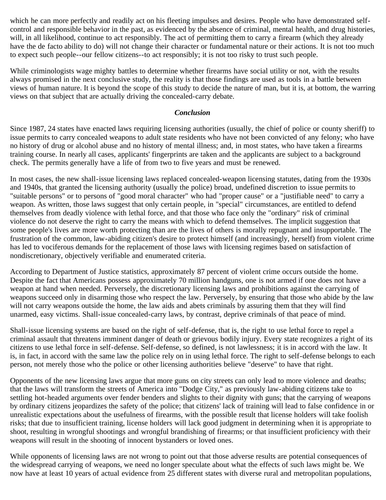which he can more perfectly and readily act on his fleeting impulses and desires. People who have demonstrated selfcontrol and responsible behavior in the past, as evidenced by the absence of criminal, mental health, and drug histories, will, in all likelihood, continue to act responsibly. The act of permitting them to carry a firearm (which they already have the de facto ability to do) will not change their character or fundamental nature or their actions. It is not too much to expect such people--our fellow citizens--to act responsibly; it is not too risky to trust such people.

While criminologists wage mighty battles to determine whether firearms have social utility or not, with the results always promised in the next conclusive study, the reality is that those findings are used as tools in a battle between views of human nature. It is beyond the scope of this study to decide the nature of man, but it is, at bottom, the warring views on that subject that are actually driving the concealed-carry debate.

#### *Conclusion*

Since 1987, 24 states have enacted laws requiring licensing authorities (usually, the chief of police or county sheriff) to issue permits to carry concealed weapons to adult state residents who have not been convicted of any felony; who have no history of drug or alcohol abuse and no history of mental illness; and, in most states, who have taken a firearms training course. In nearly all cases, applicants' fingerprints are taken and the applicants are subject to a background check. The permits generally have a life of from two to five years and must be renewed.

In most cases, the new shall-issue licensing laws replaced concealed-weapon licensing statutes, dating from the 1930s and 1940s, that granted the licensing authority (usually the police) broad, undefined discretion to issue permits to "suitable persons" or to persons of "good moral character" who had "proper cause" or a "justifiable need" to carry a weapon. As written, those laws suggest that only certain people, in "special" circumstances, are entitled to defend themselves from deadly violence with lethal force, and that those who face only the "ordinary" risk of criminal violence do not deserve the right to carry the means with which to defend themselves. The implicit suggestion that some people's lives are more worth protecting than are the lives of others is morally repugnant and insupportable. The frustration of the common, law-abiding citizen's desire to protect himself (and increasingly, herself) from violent crime has led to vociferous demands for the replacement of those laws with licensing regimes based on satisfaction of nondiscretionary, objectively verifiable and enumerated criteria.

According to Department of Justice statistics, approximately 87 percent of violent crime occurs outside the home. Despite the fact that Americans possess approximately 70 million handguns, one is not armed if one does not have a weapon at hand when needed. Perversely, the discretionary licensing laws and prohibitions against the carrying of weapons succeed only in disarming those who respect the law. Perversely, by ensuring that those who abide by the law will not carry weapons outside the home, the law aids and abets criminals by assuring them that they will find unarmed, easy victims. Shall-issue concealed-carry laws, by contrast, deprive criminals of that peace of mind.

Shall-issue licensing systems are based on the right of self-defense, that is, the right to use lethal force to repel a criminal assault that threatens imminent danger of death or grievous bodily injury. Every state recognizes a right of its citizens to use lethal force in self-defense. Self-defense, so defined, is not lawlessness; it is in accord with the law. It is, in fact, in accord with the same law the police rely on in using lethal force. The right to self-defense belongs to each person, not merely those who the police or other licensing authorities believe "deserve" to have that right.

Opponents of the new licensing laws argue that more guns on city streets can only lead to more violence and deaths; that the laws will transform the streets of America into "Dodge City," as previously law-abiding citizens take to settling hot-headed arguments over fender benders and slights to their dignity with guns; that the carrying of weapons by ordinary citizens jeopardizes the safety of the police; that citizens' lack of training will lead to false confidence in or unrealistic expectations about the usefulness of firearms, with the possible result that license holders will take foolish risks; that due to insufficient training, license holders will lack good judgment in determining when it is appropriate to shoot, resulting in wrongful shootings and wrongful brandishing of firearms; or that insufficient proficiency with their weapons will result in the shooting of innocent bystanders or loved ones.

While opponents of licensing laws are not wrong to point out that those adverse results are potential consequences of the widespread carrying of weapons, we need no longer speculate about what the effects of such laws might be. We now have at least 10 years of actual evidence from 25 different states with diverse rural and metropolitan populations,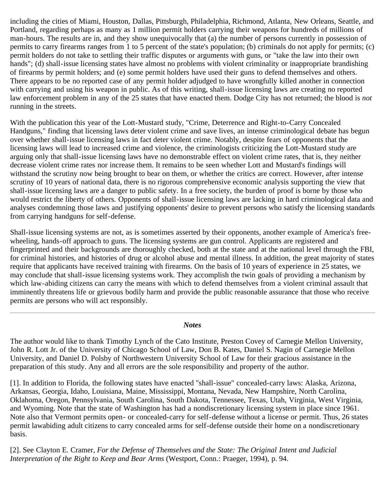including the cities of Miami, Houston, Dallas, Pittsburgh, Philadelphia, Richmond, Atlanta, New Orleans, Seattle, and Portland, regarding perhaps as many as 1 million permit holders carrying their weapons for hundreds of millions of man-hours. The results are in, and they show unequivocally that (a) the number of persons currently in possession of permits to carry firearms ranges from 1 to 5 percent of the state's population; (b) criminals do not apply for permits; (c) permit holders do not take to settling their traffic disputes or arguments with guns, or "take the law into their own hands"; (d) shall-issue licensing states have almost no problems with violent criminality or inappropriate brandishing of firearms by permit holders; and (e) some permit holders have used their guns to defend themselves and others. There appears to be no reported case of any permit holder adjudged to have wrongfully killed another in connection with carrying and using his weapon in public. As of this writing, shall-issue licensing laws are creating no reported law enforcement problem in any of the 25 states that have enacted them. Dodge City has not returned; the blood is *not* running in the streets.

With the publication this year of the Lott-Mustard study, "Crime, Deterrence and Right-to-Carry Concealed Handguns," finding that licensing laws deter violent crime and save lives, an intense criminological debate has begun over whether shall-issue licensing laws in fact deter violent crime. Notably, despite fears of opponents that the licensing laws will lead to increased crime and violence, the criminologists criticizing the Lott-Mustard study are arguing only that shall-issue licensing laws have no demonstrable effect on violent crime rates, that is, they neither decrease violent crime rates nor increase them. It remains to be seen whether Lott and Mustard's findings will withstand the scrutiny now being brought to bear on them, or whether the critics are correct. However, after intense scrutiny of 10 years of national data, there is no rigorous comprehensive economic analysis supporting the view that shall-issue licensing laws are a danger to public safety. In a free society, the burden of proof is borne by those who would restrict the liberty of others. Opponents of shall-issue licensing laws are lacking in hard criminological data and analyses condemning those laws and justifying opponents' desire to prevent persons who satisfy the licensing standards from carrying handguns for self-defense.

Shall-issue licensing systems are not, as is sometimes asserted by their opponents, another example of America's freewheeling, hands-off approach to guns. The licensing systems are gun control. Applicants are registered and fingerprinted and their backgrounds are thoroughly checked, both at the state and at the national level through the FBI, for criminal histories, and histories of drug or alcohol abuse and mental illness. In addition, the great majority of states require that applicants have received training with firearms. On the basis of 10 years of experience in 25 states, we may conclude that shall-issue licensing systems work. They accomplish the twin goals of providing a mechanism by which law-abiding citizens can carry the means with which to defend themselves from a violent criminal assault that imminently threatens life or grievous bodily harm and provide the public reasonable assurance that those who receive permits are persons who will act responsibly.

#### *Notes*

The author would like to thank Timothy Lynch of the Cato Institute, Preston Covey of Carnegie Mellon University, John R. Lott Jr. of the University of Chicago School of Law, Don B. Kates, Daniel S. Nagin of Carnegie Mellon University, and Daniel D. Polsby of Northwestern University School of Law for their gracious assistance in the preparation of this study. Any and all errors are the sole responsibility and property of the author.

<span id="page-27-0"></span>[1]. In addition to Florida, the following states have enacted "shall-issue" concealed-carry laws: Alaska, Arizona, Arkansas, Georgia, Idaho, Louisiana, Maine, Mississippi, Montana, Nevada, New Hampshire, North Carolina, Oklahoma, Oregon, Pennsylvania, South Carolina, South Dakota, Tennessee, Texas, Utah, Virginia, West Virginia, and Wyoming. Note that the state of Washington has had a nondiscretionary licensing system in place since 1961. Note also that Vermont permits open- or concealed-carry for self-defense without a license or permit. Thus, 26 states permit lawabiding adult citizens to carry concealed arms for self-defense outside their home on a nondiscretionary basis.

<span id="page-27-1"></span>[2]. See Clayton E. Cramer, *For the Defense of Themselves and the State: The Original Intent and Judicial Interpretation of the Right to Keep and Bear Arms* (Westport, Conn.: Praeger, 1994), p. 94.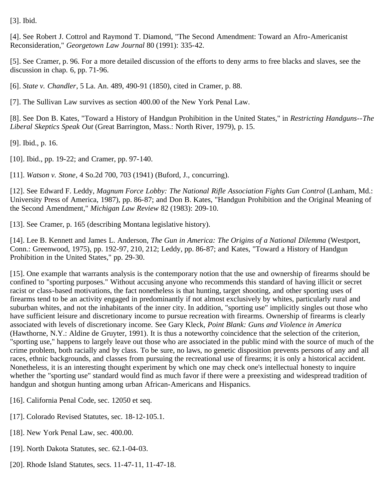<span id="page-28-0"></span>[3]. Ibid.

<span id="page-28-1"></span>[4]. See Robert J. Cottrol and Raymond T. Diamond, "The Second Amendment: Toward an Afro-Americanist Reconsideration," *Georgetown Law Journal* 80 (1991): 335-42.

<span id="page-28-2"></span>[5]. See Cramer, p. 96. For a more detailed discussion of the efforts to deny arms to free blacks and slaves, see the discussion in chap. 6, pp. 71-96.

<span id="page-28-3"></span>[6]. *State v. Chandler*, 5 La. An. 489, 490-91 (1850), cited in Cramer, p. 88.

<span id="page-28-4"></span>[7]. The Sullivan Law survives as section 400.00 of the New York Penal Law.

<span id="page-28-5"></span>[8]. See Don B. Kates, "Toward a History of Handgun Prohibition in the United States," in *Restricting Handguns--The Liberal Skeptics Speak Out* (Great Barrington, Mass.: North River, 1979), p. 15.

<span id="page-28-6"></span>[9]. Ibid., p. 16.

<span id="page-28-7"></span>[10]. Ibid., pp. 19-22; and Cramer, pp. 97-140.

<span id="page-28-8"></span>[11]. *Watson v. Stone*, 4 So.2d 700, 703 (1941) (Buford, J., concurring).

<span id="page-28-9"></span>[12]. See Edward F. Leddy, *Magnum Force Lobby: The National Rifle Association Fights Gun Control* (Lanham, Md.: University Press of America, 1987), pp. 86-87; and Don B. Kates, "Handgun Prohibition and the Original Meaning of the Second Amendment," *Michigan Law Review* 82 (1983): 209-10.

<span id="page-28-10"></span>[13]. See Cramer, p. 165 (describing Montana legislative history).

<span id="page-28-11"></span>[14]. Lee B. Kennett and James L. Anderson, *The Gun in America: The Origins of a National Dilemma* (Westport, Conn.: Greenwood, 1975), pp. 192-97, 210, 212; Leddy, pp. 86-87; and Kates, "Toward a History of Handgun Prohibition in the United States," pp. 29-30.

<span id="page-28-12"></span>[15]. One example that warrants analysis is the contemporary notion that the use and ownership of firearms should be confined to "sporting purposes." Without accusing anyone who recommends this standard of having illicit or secret racist or class-based motivations, the fact nonetheless is that hunting, target shooting, and other sporting uses of firearms tend to be an activity engaged in predominantly if not almost exclusively by whites, particularly rural and suburban whites, and not the inhabitants of the inner city. In addition, "sporting use" implicitly singles out those who have sufficient leisure and discretionary income to pursue recreation with firearms. Ownership of firearms is clearly associated with levels of discretionary income. See Gary Kleck, *Point Blank: Guns and Violence in America* (Hawthorne, N.Y.: Aldine de Gruyter, 1991). It is thus a noteworthy coincidence that the selection of the criterion, "sporting use," happens to largely leave out those who are associated in the public mind with the source of much of the crime problem, both racially and by class. To be sure, no laws, no genetic disposition prevents persons of any and all races, ethnic backgrounds, and classes from pursuing the recreational use of firearms; it is only a historical accident. Nonetheless, it is an interesting thought experiment by which one may check one's intellectual honesty to inquire whether the "sporting use" standard would find as much favor if there were a preexisting and widespread tradition of handgun and shotgun hunting among urban African-Americans and Hispanics.

<span id="page-28-13"></span>[16]. California Penal Code, sec. 12050 et seq.

- <span id="page-28-14"></span>[17]. Colorado Revised Statutes, sec. 18-12-105.1.
- <span id="page-28-15"></span>[18]. New York Penal Law, sec. 400.00.
- <span id="page-28-16"></span>[19]. North Dakota Statutes, sec. 62.1-04-03.
- <span id="page-28-17"></span>[20]. Rhode Island Statutes, secs. 11-47-11, 11-47-18.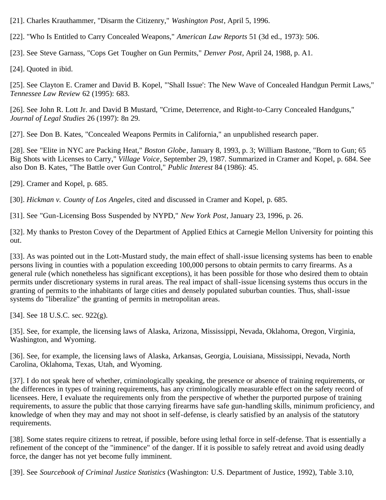<span id="page-29-0"></span>[21]. Charles Krauthammer, "Disarm the Citizenry," *Washington Post*, April 5, 1996.

<span id="page-29-1"></span>[22]. "Who Is Entitled to Carry Concealed Weapons," *American Law Reports* 51 (3d ed., 1973): 506.

<span id="page-29-2"></span>[23]. See Steve Garnass, "Cops Get Tougher on Gun Permits," *Denver Post*, April 24, 1988, p. A1.

<span id="page-29-3"></span>[24]. Quoted in ibid.

<span id="page-29-4"></span>[25]. See Clayton E. Cramer and David B. Kopel, "'Shall Issue': The New Wave of Concealed Handgun Permit Laws," *Tennessee Law Review* 62 (1995): 683.

<span id="page-29-5"></span>[26]. See John R. Lott Jr. and David B Mustard, "Crime, Deterrence, and Right-to-Carry Concealed Handguns," *Journal of Legal Studies* 26 (1997): 8n 29.

<span id="page-29-6"></span>[27]. See Don B. Kates, "Concealed Weapons Permits in California," an unpublished research paper.

<span id="page-29-7"></span>[28]. See "Elite in NYC are Packing Heat," *Boston Globe*, January 8, 1993, p. 3; William Bastone, "Born to Gun; 65 Big Shots with Licenses to Carry," *Village Voice*, September 29, 1987. Summarized in Cramer and Kopel, p. 684. See also Don B. Kates, "The Battle over Gun Control," *Public Interest* 84 (1986): 45.

<span id="page-29-8"></span>[29]. Cramer and Kopel, p. 685.

<span id="page-29-9"></span>[30]. *Hickman v. County of Los Angeles*, cited and discussed in Cramer and Kopel, p. 685.

<span id="page-29-10"></span>[31]. See "Gun-Licensing Boss Suspended by NYPD," *New York Post*, January 23, 1996, p. 26.

<span id="page-29-11"></span>[32]. My thanks to Preston Covey of the Department of Applied Ethics at Carnegie Mellon University for pointing this out.

<span id="page-29-12"></span>[33]. As was pointed out in the Lott-Mustard study, the main effect of shall-issue licensing systems has been to enable persons living in counties with a population exceeding 100,000 persons to obtain permits to carry firearms. As a general rule (which nonetheless has significant exceptions), it has been possible for those who desired them to obtain permits under discretionary systems in rural areas. The real impact of shall-issue licensing systems thus occurs in the granting of permits to the inhabitants of large cities and densely populated suburban counties. Thus, shall-issue systems do "liberalize" the granting of permits in metropolitan areas.

<span id="page-29-13"></span>[34]. See 18 U.S.C. sec. 922(g).

<span id="page-29-14"></span>[35]. See, for example, the licensing laws of Alaska, Arizona, Mississippi, Nevada, Oklahoma, Oregon, Virginia, Washington, and Wyoming.

<span id="page-29-15"></span>[36]. See, for example, the licensing laws of Alaska, Arkansas, Georgia, Louisiana, Mississippi, Nevada, North Carolina, Oklahoma, Texas, Utah, and Wyoming.

<span id="page-29-16"></span>[37]. I do not speak here of whether, criminologically speaking, the presence or absence of training requirements, or the differences in types of training requirements, has any criminologically measurable effect on the safety record of licensees. Here, I evaluate the requirements only from the perspective of whether the purported purpose of training requirements, to assure the public that those carrying firearms have safe gun-handling skills, minimum proficiency, and knowledge of when they may and may not shoot in self-defense, is clearly satisfied by an analysis of the statutory requirements.

<span id="page-29-17"></span>[38]. Some states require citizens to retreat, if possible, before using lethal force in self-defense. That is essentially a refinement of the concept of the "imminence" of the danger. If it is possible to safely retreat and avoid using deadly force, the danger has not yet become fully imminent.

<span id="page-29-18"></span>[39]. See *Sourcebook of Criminal Justice Statistics* (Washington: U.S. Department of Justice, 1992), Table 3.10,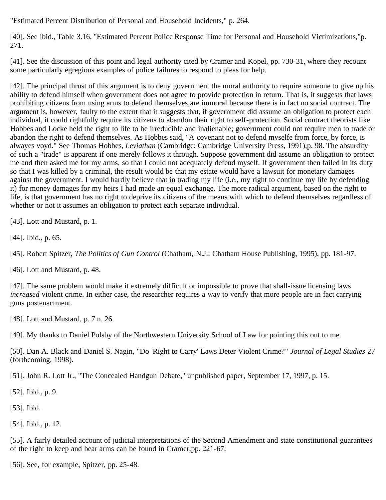"Estimated Percent Distribution of Personal and Household Incidents," p. 264.

<span id="page-30-0"></span>[40]. See ibid., Table 3.16, "Estimated Percent Police Response Time for Personal and Household Victimizations,"p. 271.

<span id="page-30-1"></span>[41]. See the discussion of this point and legal authority cited by Cramer and Kopel, pp. 730-31, where they recount some particularly egregious examples of police failures to respond to pleas for help.

<span id="page-30-2"></span>[42]. The principal thrust of this argument is to deny government the moral authority to require someone to give up his ability to defend himself when government does not agree to provide protection in return. That is, it suggests that laws prohibiting citizens from using arms to defend themselves are immoral because there is in fact no social contract. The argument is, however, faulty to the extent that it suggests that, if government did assume an obligation to protect each individual, it could rightfully require its citizens to abandon their right to self-protection. Social contract theorists like Hobbes and Locke held the right to life to be irreducible and inalienable; government could not require men to trade or abandon the right to defend themselves. As Hobbes said, "A covenant not to defend myselfe from force, by force, is alwayes voyd." See Thomas Hobbes, *Leviathan* (Cambridge: Cambridge University Press, 1991),p. 98. The absurdity of such a "trade" is apparent if one merely follows it through. Suppose government did assume an obligation to protect me and then asked me for my arms, so that I could not adequately defend myself. If government then failed in its duty so that I was killed by a criminal, the result would be that my estate would have a lawsuit for monetary damages against the government. I would hardly believe that in trading my life (i.e., my right to continue my life by defending it) for money damages for my heirs I had made an equal exchange. The more radical argument, based on the right to life, is that government has no right to deprive its citizens of the means with which to defend themselves regardless of whether or not it assumes an obligation to protect each separate individual.

<span id="page-30-3"></span>[43]. Lott and Mustard, p. 1.

<span id="page-30-4"></span>[44]. Ibid., p. 65.

<span id="page-30-5"></span>[45]. Robert Spitzer, *The Politics of Gun Control* (Chatham, N.J.: Chatham House Publishing, 1995), pp. 181-97.

<span id="page-30-6"></span>[46]. Lott and Mustard, p. 48.

<span id="page-30-7"></span>[47]. The same problem would make it extremely difficult or impossible to prove that shall-issue licensing laws *increased* violent crime. In either case, the researcher requires a way to verify that more people are in fact carrying guns postenactment.

<span id="page-30-8"></span>[48]. Lott and Mustard, p. 7 n. 26.

<span id="page-30-9"></span>[49]. My thanks to Daniel Polsby of the Northwestern University School of Law for pointing this out to me.

<span id="page-30-10"></span>[50]. Dan A. Black and Daniel S. Nagin, "Do 'Right to Carry' Laws Deter Violent Crime?" *Journal of Legal Studies* 27 (forthcoming, 1998).

<span id="page-30-11"></span>[51]. John R. Lott Jr., "The Concealed Handgun Debate," unpublished paper, September 17, 1997, p. 15.

<span id="page-30-12"></span>[52]. Ibid., p. 9.

<span id="page-30-13"></span>[53]. Ibid.

<span id="page-30-14"></span>[54]. Ibid., p. 12.

<span id="page-30-15"></span>[55]. A fairly detailed account of judicial interpretations of the Second Amendment and state constitutional guarantees of the right to keep and bear arms can be found in Cramer,pp. 221-67.

<span id="page-30-16"></span>[56]. See, for example, Spitzer, pp. 25-48.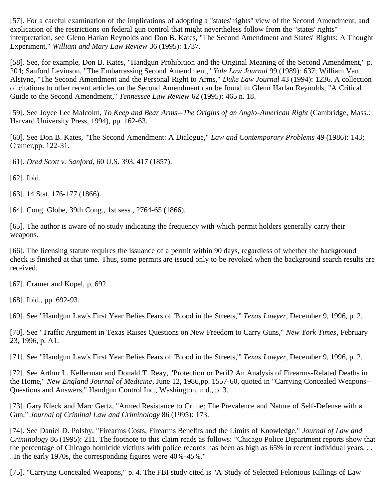<span id="page-31-0"></span>[57]. For a careful examination of the implications of adopting a "states' rights" view of the Second Amendment, and explication of the restrictions on federal gun control that might nevertheless follow from the "states' rights" interpretation, see Glenn Harlan Reynolds and Don B. Kates, "The Second Amendment and States' Rights: A Thought Experiment," *William and Mary Law Review* 36 (1995): 1737.

<span id="page-31-1"></span>[58]. See, for example, Don B. Kates, "Handgun Prohibition and the Original Meaning of the Second Amendment," p. 204; Sanford Levinson, "The Embarrassing Second Amendment," *Yale Law Journal* 99 (1989): 637; William Van Alstyne, "The Second Amendment and the Personal Right to Arms," *Duke Law Journal* 43 (1994): 1236. A collection of citations to other recent articles on the Second Amendment can be found in Glenn Harlan Reynolds, "A Critical Guide to the Second Amendment," *Tennessee Law Review* 62 (1995): 465 n. 18.

<span id="page-31-2"></span>[59]. See Joyce Lee Malcolm, *To Keep and Bear Arms--The Origins of an Anglo-American Right* (Cambridge, Mass.: Harvard University Press, 1994), pp. 162-63.

<span id="page-31-3"></span>[60]. See Don B. Kates, "The Second Amendment: A Dialogue," *Law and Contemporary Problems* 49 (1986): 143; Cramer,pp. 122-31.

<span id="page-31-4"></span>[61]. *Dred Scott v. Sanford*, 60 U.S. 393, 417 (1857).

<span id="page-31-5"></span>[62]. Ibid.

<span id="page-31-6"></span>[63]. 14 Stat. 176-177 (1866).

<span id="page-31-7"></span>[64]. Cong. Globe, 39th Cong., 1st sess., 2764-65 (1866).

<span id="page-31-8"></span>[65]. The author is aware of no study indicating the frequency with which permit holders generally carry their weapons.

<span id="page-31-9"></span>[66]. The licensing statute requires the issuance of a permit within 90 days, regardless of whether the background check is finished at that time. Thus, some permits are issued only to be revoked when the background search results are received.

<span id="page-31-10"></span>[67]. Cramer and Kopel, p. 692.

<span id="page-31-11"></span>[68]. Ibid., pp. 692-93.

<span id="page-31-12"></span>[69]. See "Handgun Law's First Year Belies Fears of 'Blood in the Streets,'" *Texas Lawyer*, December 9, 1996, p. 2.

<span id="page-31-13"></span>[70]. See "Traffic Argument in Texas Raises Questions on New Freedom to Carry Guns," *New York Times*, February 23, 1996, p. A1.

<span id="page-31-14"></span>[71]. See "Handgun Law's First Year Belies Fears of 'Blood in the Streets,'" *Texas Lawyer*, December 9, 1996, p. 2.

<span id="page-31-15"></span>[72]. See Arthur L. Kellerman and Donald T. Reay, "Protection or Peril? An Analysis of Firearms-Related Deaths in the Home," *New England Journal of Medicine*, June 12, 1986,pp. 1557-60, quoted in "Carrying Concealed Weapons-- Questions and Answers," Handgun Control Inc., Washington, n.d., p. 3.

<span id="page-31-16"></span>[73]. Gary Kleck and Marc Gertz, "Armed Resistance to Crime: The Prevalence and Nature of Self-Defense with a Gun," *Journal of Criminal Law and Criminology* 86 (1995): 173.

<span id="page-31-17"></span>[74]. See Daniel D. Polsby, "Firearms Costs, Firearms Benefits and the Limits of Knowledge," *Journal of Law and Criminology* 86 (1995): 211. The footnote to this claim reads as follows: "Chicago Police Department reports show that the percentage of Chicago homicide victims with police records has been as high as 65% in recent individual years. . . . In the early 1970s, the corresponding figures were 40%-45%."

<span id="page-31-18"></span>[75]. "Carrying Concealed Weapons," p. 4. The FBI study cited is "A Study of Selected Felonious Killings of Law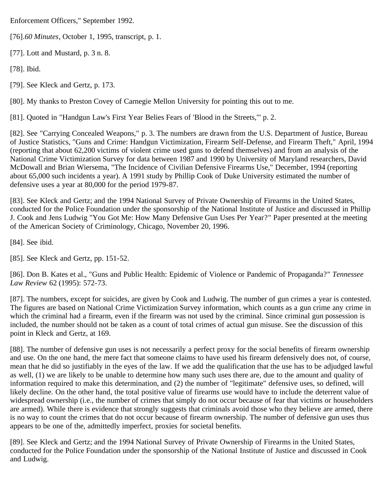Enforcement Officers," September 1992.

<span id="page-32-0"></span>[76].*60 Minutes*, October 1, 1995, transcript, p. 1.

<span id="page-32-1"></span>[77]. Lott and Mustard, p. 3 n. 8.

<span id="page-32-2"></span>[78]. Ibid.

<span id="page-32-3"></span>[79]. See Kleck and Gertz, p. 173.

<span id="page-32-4"></span>[80]. My thanks to Preston Covey of Carnegie Mellon University for pointing this out to me.

<span id="page-32-5"></span>[81]. Quoted in "Handgun Law's First Year Belies Fears of 'Blood in the Streets,'" p. 2.

<span id="page-32-6"></span>[82]. See "Carrying Concealed Weapons," p. 3. The numbers are drawn from the U.S. Department of Justice, Bureau of Justice Statistics, "Guns and Crime: Handgun Victimization, Firearm Self-Defense, and Firearm Theft," April, 1994 (reporting that about 62,200 victims of violent crime used guns to defend themselves) and from an analysis of the National Crime Victimization Survey for data between 1987 and 1990 by University of Maryland researchers, David McDowall and Brian Wiersema, "The Incidence of Civilian Defensive Firearms Use," December, 1994 (reporting about 65,000 such incidents a year). A 1991 study by Phillip Cook of Duke University estimated the number of defensive uses a year at 80,000 for the period 1979-87.

<span id="page-32-7"></span>[83]. See Kleck and Gertz; and the 1994 National Survey of Private Ownership of Firearms in the United States, conducted for the Police Foundation under the sponsorship of the National Institute of Justice and discussed in Phillip J. Cook and Jens Ludwig "You Got Me: How Many Defensive Gun Uses Per Year?" Paper presented at the meeting of the American Society of Criminology, Chicago, November 20, 1996.

<span id="page-32-8"></span>[84]. See ibid.

<span id="page-32-9"></span>[85]. See Kleck and Gertz, pp. 151-52.

<span id="page-32-10"></span>[86]. Don B. Kates et al., "Guns and Public Health: Epidemic of Violence or Pandemic of Propaganda?" *Tennessee Law Review* 62 (1995): 572-73.

<span id="page-32-11"></span>[87]. The numbers, except for suicides, are given by Cook and Ludwig. The number of gun crimes a year is contested. The figures are based on National Crime Victimization Survey information, which counts as a gun crime any crime in which the criminal had a firearm, even if the firearm was not used by the criminal. Since criminal gun possession is included, the number should not be taken as a count of total crimes of actual gun misuse. See the discussion of this point in Kleck and Gertz, at 169.

<span id="page-32-12"></span>[88]. The number of defensive gun uses is not necessarily a perfect proxy for the social benefits of firearm ownership and use. On the one hand, the mere fact that someone claims to have used his firearm defensively does not, of course, mean that he did so justifiably in the eyes of the law. If we add the qualification that the use has to be adjudged lawful as well, (1) we are likely to be unable to determine how many such uses there are, due to the amount and quality of information required to make this determination, and (2) the number of "legitimate" defensive uses, so defined, will likely decline. On the other hand, the total positive value of firearms use would have to include the deterrent value of widespread ownership (i.e., the number of crimes that simply do not occur because of fear that victims or householders are armed). While there is evidence that strongly suggests that criminals avoid those who they believe are armed, there is no way to count the crimes that do not occur because of firearm ownership. The number of defensive gun uses thus appears to be one of the, admittedly imperfect, proxies for societal benefits.

<span id="page-32-13"></span>[89]. See Kleck and Gertz; and the 1994 National Survey of Private Ownership of Firearms in the United States, conducted for the Police Foundation under the sponsorship of the National Institute of Justice and discussed in Cook and Ludwig.